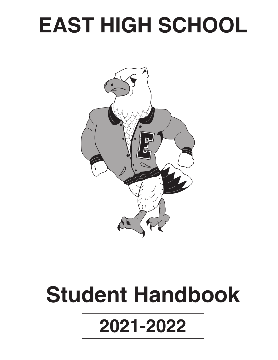# **EAST HIGH SCHOOL**



# **Student Handbook 2021-2022**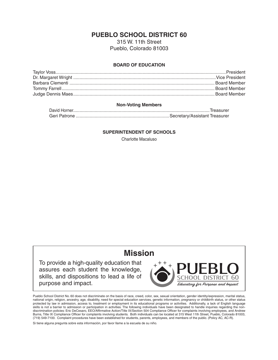## **PUEBLO SCHOOL DISTRICT 60**

315 W. 11th Street Pueblo, Colorado 81003

#### **BOARD OF EDUCATION**

#### **Non-Voting Members**

#### **SUPERINTENDENT OF SCHOOLS**

Charlotte Macaluso

## **Mission**

To provide a high-quality education that assures each student the knowledge, skills, and dispositions to lead a life of purpose and impact.



Pueblo School District No. 60 does not discriminate on the basis of race, creed, color, sex, sexual orientation, gender identity/expression, marital status, national origin, religion, ancestry, age, disability, need for special education services, genetic information, pregnancy or childbirth status, or other status protected by law in admission, access to, treatment or employment in its educational programs or activities. Additionally, a lack of English language skills is not a barrier to admission or participation in activities. The following individuals have been designated to handle inquiries regarding the nondiscrimination policies: Eric DeCesaro, EEO/Affirmative Action/Title IX/Section 504 Compliance Officer for complaints involving employees, and Andrew Burns, Title IX Compliance Officer for complaints involving students. Both individuals can be located at 315 West 11th Street, Pueblo, Colorado 81003, (719) 549-7100. Complaint procedures have been established for students, parents, employees, and members of the public. (Policy AC, AC-R).

Si tiene alguna pregunta sobre esta información, por favor llame a la escuela de su niño.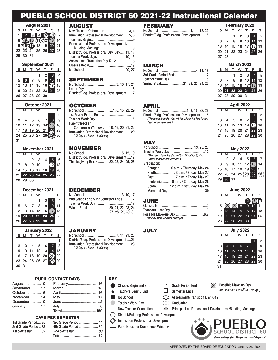## PUEBLO SCHOOL DISTRICT 60 2021-22 Instructional Calendar

| <b>August 2021</b> |    |                                        |  |                                      |           |    |
|--------------------|----|----------------------------------------|--|--------------------------------------|-----------|----|
| Š                  |    |                                        |  |                                      |           | Š  |
|                    |    | 3                                      |  |                                      |           |    |
| 8                  |    | $\backslash$ 10 $\langle$ 11 $\rangle$ |  |                                      |           | 14 |
| $15\Sigma$         |    |                                        |  | $63$ $\overline{18}$ $\overline{19}$ | <b>20</b> | 21 |
|                    |    |                                        |  | 22 23 24 25 26 27 28                 |           |    |
| 29                 | 30 | -31                                    |  |                                      |           |    |

| September 2021 |                |  |         |  |                                                                                                                                                                          |    |  |  |
|----------------|----------------|--|---------|--|--------------------------------------------------------------------------------------------------------------------------------------------------------------------------|----|--|--|
|                |                |  | M T W T |  | F                                                                                                                                                                        | ۹. |  |  |
|                |                |  |         |  | $\begin{array}{cccccc} & & & & 1 & 2 & 3 & 4 \\ 5 & 6 & 7 & 8 & 9 & 10 & 11 \\ 12 & 13 & 14 & 15 & 16 & \text{(7)} & 18 \\ 19 & 20 & 21 & 22 & 23 & 24 & 25 \end{array}$ |    |  |  |
|                |                |  |         |  |                                                                                                                                                                          |    |  |  |
|                |                |  |         |  |                                                                                                                                                                          |    |  |  |
|                |                |  |         |  |                                                                                                                                                                          |    |  |  |
|                | 26 27 28 29 30 |  |         |  |                                                                                                                                                                          |    |  |  |
|                |                |  |         |  |                                                                                                                                                                          |    |  |  |

| October 2021 |                |  |  |                |   |                |
|--------------|----------------|--|--|----------------|---|----------------|
| ς            |                |  |  |                |   | Ŝ.             |
|              |                |  |  |                |   | 2              |
| 3            | 4              |  |  | 5 6 7          | 8 | $\overline{9}$ |
| 10           |                |  |  | 11 12 13 14 15 |   | 16             |
|              | 17 18 19 20 21 |  |  |                |   | 23             |
| 24           |                |  |  | 25 26 27 28    |   |                |
| 31           |                |  |  |                |   |                |

| November 2021 |          |  |             |  |                                                                                  |    |  |
|---------------|----------|--|-------------|--|----------------------------------------------------------------------------------|----|--|
|               |          |  | S M T W T F |  |                                                                                  | S. |  |
|               |          |  |             |  | 1 2 3 4 5 6<br>7 8 9 10 11 12 13<br>14 15 16 17 18 19 20<br>21 22 23 24 25 26 27 |    |  |
|               |          |  |             |  |                                                                                  |    |  |
|               |          |  |             |  |                                                                                  |    |  |
|               |          |  |             |  |                                                                                  |    |  |
|               | 28 29 30 |  |             |  |                                                                                  |    |  |

| December 2021 |     |     |                                                                                                                                                                                            |     |  |              |
|---------------|-----|-----|--------------------------------------------------------------------------------------------------------------------------------------------------------------------------------------------|-----|--|--------------|
|               | S M | T W |                                                                                                                                                                                            | T F |  | $\mathbf{s}$ |
|               |     |     | $\begin{array}{cccccc} & & & & 1 & 2 & 3 & 4 \\ 5 & 6 & 7 & 8 & 9 & 10 & 11 \\ 12 & 13 & 14 & 15 & 16 & 18 \\ 19 & 20 & 21 & 22 & 23 & 24 & 25 \\ 26 & 27 & 28 & 29 & 30 & 31 \end{array}$ |     |  |              |
|               |     |     |                                                                                                                                                                                            |     |  |              |
|               |     |     |                                                                                                                                                                                            |     |  |              |
|               |     |     |                                                                                                                                                                                            |     |  |              |
|               |     |     |                                                                                                                                                                                            |     |  |              |
|               |     |     |                                                                                                                                                                                            |     |  |              |

| January 2022 |  |  |   |  |                                                              |                   |  |
|--------------|--|--|---|--|--------------------------------------------------------------|-------------------|--|
| s.           |  |  | w |  | F                                                            |                   |  |
|              |  |  |   |  |                                                              |                   |  |
|              |  |  |   |  |                                                              | l 8               |  |
|              |  |  |   |  |                                                              | $4 \overline{15}$ |  |
|              |  |  |   |  |                                                              | $\mathbf{122}$    |  |
|              |  |  |   |  |                                                              | - 29              |  |
|              |  |  |   |  | $-56$<br>9 10 11 12 13 1<br>16 17 18 19 20<br>23 24 25 26 27 |                   |  |

## AUGUST

| New Teacher Orientation 3, 4               |  |
|--------------------------------------------|--|
| Innovation Professional Development5, 6    |  |
|                                            |  |
| Principal Led Professional Development/    |  |
|                                            |  |
| District/Bldg. Professional Dev. Day11, 12 |  |
|                                            |  |
| Assessment/Transition Day K-12 16          |  |
|                                            |  |
|                                            |  |

## SEPTEMBER

| District/Bldg. Professional Development17 |  |
|-------------------------------------------|--|

## **OCTOBER**

| Parent/Teacher                      |  |
|-------------------------------------|--|
| Conference Window18, 19, 20, 21, 22 |  |

Innovation Professional Development.........29 *(1/2 Day = 3 hours 15 minutes)*

## NOVEMBER

| District/Bldg. Professional Development12 |  |
|-------------------------------------------|--|
| Thanksgiving Break22, 23, 24, 25, 26      |  |

#### **DECEMBER**

| 2nd Grade Period/1st Semester Ends 17 |                |
|---------------------------------------|----------------|
|                                       |                |
| Winter Break 20, 21, 22, 23, 24       |                |
|                                       | 27.28.29.30.31 |
|                                       |                |

## JANUARY

No School ...................................7, 14, 21, 28 District/Bldg. Professional Development.....21 Innovation Professional Development.........28 *(1/2 Day = 3 hours 15 minutes)*

## **FEBRUARY**

| District/Bldg. Professional Development18 |  |
|-------------------------------------------|--|

#### **February 2022** S M T W T F S 1 2 3 4 5 6 7 8 9 10 11 12 13 14 15 16 17 **18** 19 20 21 22 23 24 25 26 27 28

**March 2022** S M T W T F S

**April 2022** S M T W T F S

 1 2 3 4 5 6 7 8 9 10 11 12 13 14 15 16 17\* **18** 19 20 **21 22 23 24 25** 26 27 28 29 30 31

## MARCH

| 3rd Grade Period Ends17        |  |
|--------------------------------|--|
|                                |  |
| Spring Break21, 22, 23, 24, 25 |  |
|                                |  |

## APRIL

No School ...............................1, 8, 15, 22, 29 District/Bldg. Professional Development.....15 *(The hours from this day will be utilized for Fall Parent Teacher conferences.)*

## **MAY**

| (The hours from this day will be utilized for Spring |  |
|------------------------------------------------------|--|
| Parent Teacher conferences.)                         |  |
| Graduation:                                          |  |

| Paragon 6 p.m. / Thursday, May 26    |
|--------------------------------------|
| South 3 p.m. / Friday. May 27        |
|                                      |
| Centennial 8 a.m. / Saturday, May 28 |
| Central12 p.m. / Saturday, May 28    |
|                                      |

## JUNE

| Possible Make-up Day 6,7        |  |
|---------------------------------|--|
| (for inclement weather overage) |  |

## **JULY**



#### **PUPIL CONTACT DAYS**

| January 17  |            |  |
|-------------|------------|--|
| December10  |            |  |
| November14  |            |  |
| October 16  |            |  |
| September17 |            |  |
| August  10  | February16 |  |
|             |            |  |

#### **DAYS PER SEMESTER** 3rd Grade Period ...................... 44

4th Grade Period ........................ 39 *1st Semester ..........67 2nd Semester ...........................83* **Total**....................................... **150**

| 1st Grade Period35  |  |
|---------------------|--|
| 2nd Grade Period 32 |  |
| 1st Semester 67     |  |
|                     |  |

## **KEY**

 $\left\langle \!\! \left. \right\rangle \!\! \left. \right\rangle$ 

- 
- **★** Teachers Begin / End **I** Semester Ends
- **Tale**
- 
- $\Box$ 
	- District/Building Professional Development
	- Innovation Professional Development

Parent/Teacher Conference Window

- Classes Begin and End \* Grade Period End
- $\times$  Possible Make-up Day *(for inclement weather overage)*
- No School  $\sum_{n=1}^{\infty}$  Assessment/Transition Day K-12
- Teacher Work Day **Graduation**

New Teacher Orientation  $\triangle$  Principal Led Professional Development/Building Meetings

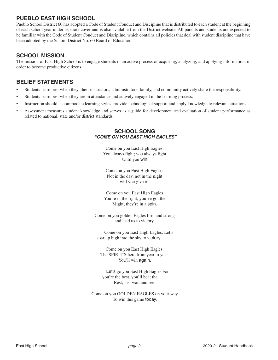## **PUEBLO EAST HIGH SCHOOL**

Pueblo School District 60 has adopted a Code of Student Conduct and Discipline that is distributed to each student at the beginning of each school year under separate cover and is also available from the District website. All parents and students are expected to be familiar with the Code of Student Conduct and Discipline, which contains all policies that deal with student discipline that have been adopted by the School District No. 60 Board of Education.

## **SCHOOL MISSION**

The mission of East High School is to engage students in an active process of acquiring, analyzing, and applying information, in order to become productive citizens.

## **BELIEF STATEMENTS**

- Students learn best when they, their instructors, administrators, family, and community actively share the responsibility.
- Students learn best when they are in attendance and actively engaged in the learning process.
- Instruction should accommodate learning styles, provide technological support and apply knowledge to relevant situations.
- Assessment measures student knowledge and serves as a guide for development and evaluation of student performance as related to national, state and/or district standards.

#### **SCHOOL SONG** *"COME ON YOU EAST HIGH EAGLES"*

Come on you East High Eagles, You always fight; you always fight Until you win

Come on you East High Eagles, Not in the day, not in the night will you give in.

Come on you East High Eagles You're in the right; you've got the Might; they're in a spin.

Come on you golden Eagles firm and strong and lead us to victory.

Come on you East High Eagles, Let's soar up high into the sky to victory

Come on you East High Eagles. The SPIRIT'S here from year to year. You'll win again.

Let's go you East High Eagles For you're the best, you'll beat the Rest, just wait and see.

Come on you GOLDEN EAGLES on your way To win this game today.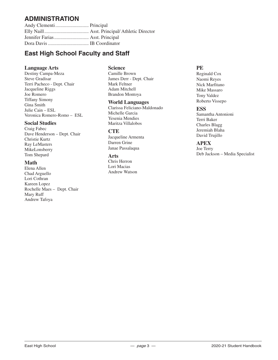## **ADMINISTRATION**

Andy Clementi........................... Principal Elly Naill.................................... Asst. Principal/ Athletic Director Jennifer Farias............................ Asst. Principal Dora Davis................................. IB Coordinator

## **East High School Faculty and Staff**

## **Language Arts**

Destiny Campa-Meza Steve Gradisar Terri Pacheco - Dept. Chair Jacqueline Riggs Joe Romero Tiffany Simony Gina Smith Julie Cain – ESL Veronica Romero-Romo – ESL

## **Social Studies**

Craig Fabec Dave Henderson – Dept. Chair Christie Kurtz Ray LeMasters MikeLonsberry Tom Shepard

#### **Math**

Elena Allen Chad Arguello Lori Cothran Kareen Lopez Rochelle Maes – Dept. Chair Mary Ruff Andrew Tafoya

## **Science**

Camille Brown James Derr - Dept. Chair Mark Feltner Adam Mitchell Brandon Montoya

#### **World Languages**

Clarissa Feliciano-Maldonado Michelle Garcia Yesenia Mendies Maritza Villalobos

## **CTE**

Jacqueline Armenta Darren Grine Janae Passalaqua

## **Arts**

Chris Herron Lori Macias Andrew Watson

## **PE**

Reginald Cox Naomi Reyes Nick Marfitano Mike Massaro Tony Valdez Roberto Vissepo

## **ESS**

Samantha Antonioni Terri Baker Charles Blagg Jeremiah Blaha David Trujillo

## **APEX**

Joe Terry Deb Jackson – Media Specialist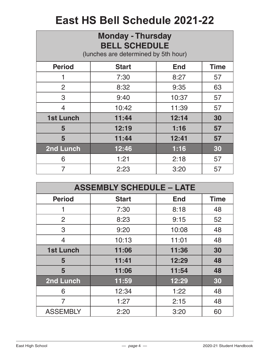# **East HS Bell Schedule 2021-22**

| <b>Monday - Thursday</b><br><b>BELL SCHEDULE</b><br>(lunches are determined by 5th hour) |              |            |             |
|------------------------------------------------------------------------------------------|--------------|------------|-------------|
| <b>Period</b>                                                                            | <b>Start</b> | <b>End</b> | <b>Time</b> |
|                                                                                          | 7:30         | 8:27       | 57          |
| 2                                                                                        | 8:32         | 9:35       | 63          |
| 3                                                                                        | 9:40         | 10:37      | 57          |
| $\overline{4}$                                                                           | 10:42        | 11:39      | 57          |
| <b>1st Lunch</b>                                                                         | 11:44        | 12:14      | 30          |
| 5                                                                                        | 12:19        | 1:16       | 57          |
| 5                                                                                        | 11:44        | 12:41      | 57          |
| 2nd Lunch                                                                                | 12:46        | 1:16       | 30          |
| 6                                                                                        | 1:21         | 2:18       | 57          |
| 7                                                                                        | 2:23         | 3:20       | 57          |

| <b>ASSEMBLY SCHEDULE - LATE</b> |              |            |             |
|---------------------------------|--------------|------------|-------------|
| <b>Period</b>                   | <b>Start</b> | <b>End</b> | <b>Time</b> |
|                                 | 7:30         | 8:18       | 48          |
| 2                               | 8:23         | 9:15       | 52          |
| 3                               | 9:20         | 10:08      | 48          |
| 4                               | 10:13        | 11:01      | 48          |
| <b>1st Lunch</b>                | 11:06        | 11:36      | 30          |
| 5                               | 11:41        | 12:29      | 48          |
| 5                               | 11:06        | 11:54      | 48          |
| 2nd Lunch                       | 11:59        | 12:29      | 30          |
| 6                               | 12:34        | 1:22       | 48          |
| 7                               | 1:27         | 2:15       | 48          |
| <b>ASSEMBLY</b>                 | 2:20         | 3:20       | 60          |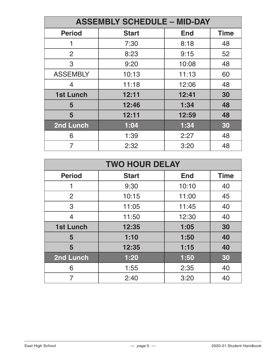| <b>ASSEMBLY SCHEDULE - MID-DAY</b> |              |            |             |
|------------------------------------|--------------|------------|-------------|
| <b>Period</b>                      | <b>Start</b> | <b>End</b> | <b>Time</b> |
|                                    | 7:30         | 8:18       | 48          |
| $\overline{2}$                     | 8:23         | 9:15       | 52          |
| 3                                  | 9:20         | 10:08      | 48          |
| <b>ASSEMBLY</b>                    | 10:13        | 11:13      | 60          |
| 4                                  | 11:18        | 12:06      | 48          |
| <b>1st Lunch</b>                   | 12:11        | 12:41      | 30          |
| 5                                  | 12:46        | 1:34       | 48          |
| 5                                  | 12:11        | 12:59      | 48          |
| 2nd Lunch                          | 1:04         | 1:34       | 30          |
| 6                                  | 1:39         | 2:27       | 48          |
| 7                                  | 2:32         | 3:20       | 48          |

| <b>TWO HOUR DELAY</b> |              |            |             |
|-----------------------|--------------|------------|-------------|
| <b>Period</b>         | <b>Start</b> | <b>End</b> | <b>Time</b> |
|                       | 9:30         | 10:10      | 40          |
| 2                     | 10:15        | 11:00      | 45          |
| 3                     | 11:05        | 11:45      | 40          |
| 4                     | 11:50        | 12:30      | 40          |
| <b>1st Lunch</b>      | 12:35        | 1:05       | 30          |
| 5                     | 1:10         | 1:50       | 40          |
| 5                     | 12:35        | 1:15       | 40          |
| 2nd Lunch             | 1:20         | 1:50       | 30          |
| 6                     | 1:55         | 2:35       | 40          |
| 7                     | 2:40         | 3:20       | 40          |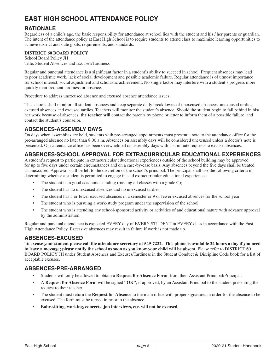## **EAST HIGH SCHOOL ATTENDANCE POLICY**

## **RATIONALE**

Regardless of a child's age, the basic responsibility for attendance at school lies with the student and his / her parents or guardian. The intent of the attendance policy at East High School is to require students to attend class to maximize learning opportunities to achieve district and state goals, requirements, and standards.

#### **DISTRICT 60 BOARD POLICY**

School Board Policy JH Title: Student Absences and Excuses/Tardiness

Regular and punctual attendance is a significant factor in a student's ability to succeed in school. Frequent absences may lead to poor academic work, lack of social development and possible academic failure. Regular attendance is of utmost importance for school interest, social adjustment and scholastic achievement. No single factor may interfere with a student's progress more quickly than frequent tardiness or absence.

Procedure to address unexcused absence and excused absence attendance issues:

The schools shall monitor all student absences and keep separate daily breakdowns of unexcused absences, unexcused tardies, excused absences and excused tardies. Teachers will monitor the student's absence. Should the student begin to fall behind in his/ her work because of absences, **the teacher will** contact the parents by phone or letter to inform them of a possible failure, and contact the student's counselor.

## **ABSENCES-ASSEMBLY DAYS**

On days when assemblies are held, students with pre-arranged appointments must present a note to the attendance office for the pre-arranged absence no later than 8:00 a.m. Absences on assembly days will be considered unexcused unless a doctor's note is presented. Our attendance office has been overwhelmed on assembly days with last minute requests to excuse absences.

## **ABSENCES-SCHOOL APPROVAL FOR EXTRACURRICULAR EDUCATIONAL EXPERIENCES**

A student's request to participate in extracurricular educational experiences outside of the school building may be approved for up to five days under certain circumstances and on a case-by-case basis. Any absences beyond the five days shall be treated as unexcused. Approval shall be left to the discretion of the school's principal. The principal shall use the following criteria in determining whether a student is permitted to engage in said extracurricular educational experiences:

- The student is in good academic standing (passing all classes with a grade C);
- The student has no unexcused absences and no unexcused tardies;
- The student has 5 or fewer excused absences in a semester or 9 or fewer excused absences for the school year
- The student who is pursuing a work-study program under the supervision of the school.
- The student who is attending any school-sponsored activity or activities of and educational nature with advance approval by the administration.

Regular and punctual attendance is expected EVERY day of EVERY STUDENT in EVERY class in accordance with the East High Attendance Policy. Excessive absences may result in failure if work is not made up.

## **ABSENCES-EXCUSED**

**To excuse your student please call the attendance secretary at 549-7222. This phone is available 24 hours a day if you need to leave a message; please notify the school as soon as you know your child will be absent.** Please refer to DISTRICT 60 BOARD POLICY JH under Student Absences and Excuses/Tardiness in the Student Conduct & Discipline Code book for a list of acceptable excuses.

## **ABSENCES-PRE-ARRANGED**

- Students will only be allowed to obtain a **Request for Absence Form**, from their Assistant Principal/Principal.
- A **Request for Absence Form** will be signed **"OK"**, if approved, by an Assistant Principal to the student presenting the request to their teacher.
- The student must return the **Request for Absence** to the main office with proper signatures in order for the absence to be excused. The form must be turned in prior to the absence.
- **• Baby-sitting, working, concerts, job interviews, etc. will not be excused.**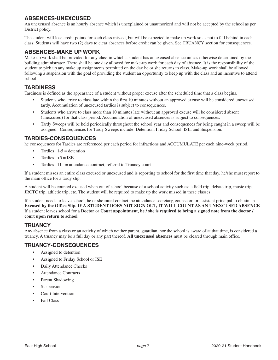## **ABSENCES-UNEXCUSED**

An unexcused absence is an hourly absence which is unexplained or unauthorized and will not be accepted by the school as per District policy.

The student will lose credit points for each class missed, but will be expected to make up work so as not to fall behind in each class. Students will have two (2) days to clear absences before credit can be given. See TRUANCY section for consequences.

## **ABSENCES-MAKE UP WORK**

Make-up work shall be provided for any class in which a student has an excused absence unless otherwise determined by the building administrator. There shall be one day allowed for make-up work for each day of absence. It is the responsibility of the student to pick up any make up assignments permitted on the day he or she returns to class. Make-up work shall be allowed following a suspension with the goal of providing the student an opportunity to keep up with the class and an incentive to attend school.

## **TARDINESS**

Tardiness is defined as the appearance of a student without proper excuse after the scheduled time that a class begins.

- Students who arrive to class late within the first 10 minutes without an approved excuse will be considered unexcused tardy. Accumulation of unexcused tardies is subject to consequences.
- Students who arrive to class more than 10 minutes late without an approved excuse will be considered absent (unexcused) for that class period. Accumulation of unexcused absences is subject to consequences.
- Tardy Sweeps will be held periodically throughout the school year and consequences for being caught in a sweep will be assigned. Consequences for Tardy Sweeps include: Detention, Friday School, ISE, and Suspension.

## **TARDIES-CONSEQUENCES**

he consequences for Tardies are referenced per each period for infractions and ACCUMULATE per each nine-week period.

- Tardies  $1-5$  = detention
- Tardies  $>5 = ISE$
- Tardies  $11+$  = attendance contract, referral to Truancy court

If a student misses an entire class excused or unexcused and is reporting to school for the first time that day, he/she must report to the main office for a tardy slip.

A student will be counted excused when out of school because of a school activity such as: a field trip, debate trip, music trip, JROTC trip, athletic trip, etc. The student will be required to make up the work missed in these classes.

If a student needs to leave school, he or she **must** contact the attendance secretary, counselor, or assistant principal to obtain an **Excused by the Office Slip. IF A STUDENT DOES NOT SIGN OUT, IT WILL COUNT AS AN UNEXCUSED ABSENCE**. If a student leaves school for a **Doctor** or **Court appointment, he / she is required to bring a signed note from the doctor / court upon return to school**.

## **TRUANCY**

Any absence from a class or an activity of which neither parent, guardian, nor the school is aware of at that time, is considered a truancy. A truancy may be a full day or any part thereof. **All unexcused absences** must be cleared through main office.

## **TRUANCY-CONSEQUENCES**

- Assigned to detention
- Assigned to Friday School or ISE
- Daily Attendance Checks
- Attendance Contracts
- Parent Shadowing
- **Suspension**
- Court Intervention
- Fail Class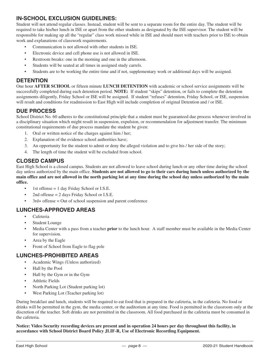## **IN-SCHOOL EXCLUSION GUIDELINES:**

Student will not attend regular classes. Instead, student will be sent to a separate room for the entire day. The student will be required to take his/her lunch in ISE or apart from the other students as designated by the ISE supervisor. The student will be responsible for making up all the "regular" class work missed while in ISE and should meet with teachers prior to ISE to obtain work and explanations of classwork requirements.

- Communication is not allowed with other students in ISE.
- Electronic device and cell phone use is not allowed in ISE.
- Restroom breaks: one in the morning and one in the afternoon.
- Students will be seated at all times in assigned study carrels.
- Students are to be working the entire time and if not, supplementary work or additional days will be assigned.

## **DETENTION**

One hour **AFTER SCHOOL** or fifteen minute **LUNCH DETENTION** with academic or school service assignments will be successfully completed during each detention period. **NOTE:** If student "skips" detention, or fails to complete the detention assignments diligently, Friday School or ISE will be assigned. If student "refuses" detention, Friday School, or ISE, suspension will result and conditions for readmission to East High will include completion of original Detention and / or ISE.

## **DUE PROCESS**

School District No. 60 adheres to the constitutional principle that a student must be guaranteed due process whenever involved in a disciplinary situation which might result in suspension, expulsion, or recommendation for adjustment transfer. The minimum constitutional requirements of due process mandate the student be given:

- 1. Oral or written notice of the charges against him / her;
- 2. Explanation of the evidence school authorities have;
- 3. An opportunity for the student to admit or deny the alleged violation and to give his / her side of the story;
- 4. The length of time the student will be excluded from school.

## **CLOSED CAMPUS**

East High School is a closed campus. Students are not allowed to leave school during lunch or any other time during the school day unless authorized by the main office. **Students are not allowed to go to their cars during lunch unless authorized by the main office and are not allowed in the north parking lot at any time during the school day unless authorized by the main office.**

- 1st offense = 1 day Friday School or I.S.E.
- 2nd offense  $= 2$  days Friday School or I.S.E.
- 3rd+ offense = Out of school suspension and parent conference

## **LUNCHES-APPROVED AREAS**

- Cafeteria
- Student Lounge
- Media Center with a pass from a teacher **prior** to the lunch hour. A staff member must be available in the Media Center for supervision.
- Area by the Eagle
- Front of School from Eagle to flag pole

## **LUNCHES-PROHIBITED AREAS**

- Academic Wings (Unless authorized)
- Hall by the Pool
- Hall by the Gym or in the Gym
- Athletic Fields
- North Parking Lot (Student parking lot)
- West Parking Lot (Teacher parking lot)

During breakfast and lunch, students will be required to eat food that is prepared in the cafeteria, in the cafeteria. No food or drinks will be permitted in the gym, the media center, or the auditorium at any time. Food is permitted in the classroom only at the discretion of the teacher. Soft drinks are not permitted in the classroom. All food purchased in the cafeteria must be consumed in the cafeteria.

**Notice: Video Security recording devices are present and in operation 24 hours per day throughout this facility, in accordance with School District Board Policy JLIF-R, Use of Electronic Recording Equipment.**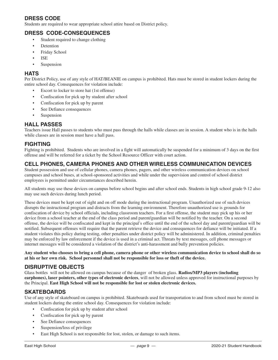## **DRESS CODE**

Students are required to wear appropriate school attire based on District policy.

## **DRESS CODE-CONSEQUENCES**

- Student required to change clothing
- **Detention**
- Friday School
- ISE
- **Suspension**

## **HATS**

Per District Policy, use of any style of HAT/BEANIE on campus is prohibited. Hats must be stored in student lockers during the entire school day. Consequences for violation include:

- Escort to locker to store hat (1st offense)
- Confiscation for pick up by student after school
- Confiscation for pick up by parent
- See Defiance consequences
- **Suspension**

## **HALL PASSES**

Teachers issue Hall passes to students who must pass through the halls while classes are in session. A student who is in the halls while classes are in session must have a hall pass.

## **FIGHTING**

Fighting is prohibited. Students who are involved in a fight will automatically be suspended for a minimum of 3 days on the first offense and will be referred for a ticket by the School Resource Officer with court action.

## **CELL PHONES, CAMERA PHONES AND OTHER WIRELESS COMMUNICATION DEVICES**

Student possession and use of cellular phones, camera phones, pagers, and other wireless communication devices on school campuses and school buses, at school-sponsored activities and while under the supervision and control of school district employees is permitted under circumstances described herein.

All students may use these devices on campus before school begins and after school ends. Students in high school grade 9-12 also may use such devices during lunch period.

These devices must be kept out of sight and on off mode during the instructional program. Unauthorized use of such devices disrupts the instructional program and distracts from the learning environment. Therefore unauthorized use is grounds for confiscation of device by school officials, including classroom teachers. For a first offense, the student may pick up his or her device from a school teacher at the end of the class period and parent/guardian will be notified by the teacher. On a second offense, the device will be confiscated and kept in the principal's office until the end of the school day and parent/guardian will be notified. Subsequent offenses will require that the parent retrieve the device and consequences for defiance will be initiated. If a student violates this policy during testing, other penalties under district policy will be administered. In addition, criminal penalties may be enforced by law enforcement if the device is used in a criminal act. Threats by text messages, cell phone messages or internet messages will be considered a violation of the district's anti-harassment and bully prevention policies.

**Any student who chooses to bring a cell phone, camera phone or other wireless communication device to school shall do so at his or her own risk. School personnel shall not be responsible for loss or theft of the device.**

## **DISRUPTIVE OBJECTS**

Glass bottles will not be allowed on campus because of the danger of broken glass. **Radios/MP3 players (including earphones), laser pointers, other types of electronic devices**, will not be allowed unless approved for instructional purposes by the Principal. **East High School will not be responsible for lost or stolen electronic devices.**

## **SKATEBOARDS**

Use of any style of skateboard on campus is prohibited. Skateboards used for transportation to and from school must be stored in student lockers during the entire school day. Consequences for violation include:

- Confiscation for pick up by student after school
- Confiscation for pick up by parent
- See Defiance consequences
- Suspension/loss of privilege
- East High School is not responsible for lost, stolen, or damage to such items.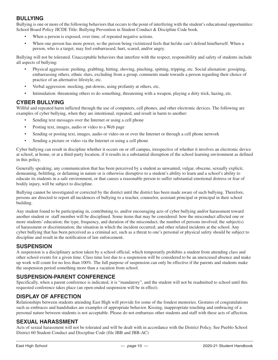## **BULLYING**

Bullying is one or more of the following behaviors that occurs to the point of interfering with the student's educational opportunities: School Board Policy JICDE Title: Bullying Prevention in Student Conduct & Discipline Code book.

- When a person is exposed, over time, of repeated negative actions.
- When one person has more power, so the person being victimized feels that he/she can't defend him/herself. When a person, who is a target, may feel embarrassed, hurt, scared, and/or angry.

Bullying will not be tolerated. Unacceptable behaviors that interfere with the respect, responsibility and safety of students include all aspects of bullying:

- Physical aggression: pushing, grabbing, hitting, shoving, pinching, spitting, tripping, etc. Social alienation: gossiping, embarrassing others, ethnic slurs, excluding from a group, comments made towards a person regarding their choice of practice of an alternative lifestyle, etc.
- Verbal aggression: mocking, put-downs, using profanity at others, etc.
- Intimidation: threatening others to do something, threatening with a weapon, playing a dirty trick, hazing, etc.

## **CYBER BULLYING**

Willful and repeated harm inflicted through the use of computers, cell phones, and other electronic devices. The following are examples of cyber bullying, when they are intentional, repeated, and result in harm to another:

- Sending text messages over the Internet or using a cell phone
- Posting text, images, audio or video to a Web page
- Sending or posting text, images, audio or video on or over the Internet or through a cell phone network
- Sending a picture or video via the Internet or using a cell phone

Cyber bullying can result in discipline whether it occurs on or off campus, irrespective of whether it involves an electronic device at school, at home, or at a third-party location, if it results in a substantial disruption of the school learning environment as defined in this policy.

Generally speaking, any communication that has been perceived by a student as unwanted, vulgar, obscene, sexually explicit, demeaning, belittling, or defaming in nature or is otherwise disruptive to a student's ability to learn and a school's ability to educate its students in a safe environment, or that causes a reasonable person to suffer substantial emotional distress or fear of bodily injury, will be subject to discipline.

Bullying cannot be investigated or corrected by the district until the district has been made aware of such bullying. Therefore, persons are directed to report all incidences of bullying to a teacher, counselor, assistant principal or principal in their school building.

Any student found to be participating in, contributing to, and/or encouraging acts of cyber bullying and/or harassment toward another student or staff member will be disciplined. Some items that may be considered: how the misconduct affected one or more students' education; the type, frequency, and duration of the misconduct; the number of persons involved; the subject(s) of harassment or discrimination; the situation in which the incident occurred; and other related incidents at the school. Any cyber bullying that has been perceived as a criminal act, such as a threat to one's personal or physical safety should be subject to discipline and result in the notification of law enforcement.

## **SUSPENSION**

A suspension is a disciplinary action taken by a school official, which temporarily prohibits a student from attending class and other school events for a given time. Class time lost due to a suspension will be considered to be an unexcused absence and make up work will count for no less than 100%. The full purpose of suspension can only be effective if the parents and students make the suspension period something more than a vacation from school.

## **SUSPENSION-PARENT CONFERENCE**

Specifically, when a parent conference is indicated, it is "mandatory", and the student will not be readmitted to school until this requested conference takes place (an open-ended suspension will be in effect).

## **DISPLAY OF AFFECTION**

Relationships between students attending East High will provide for some of the fondest memories. Gestures of congratulations such as embraces and handshakes are examples of appropriate behavior. Kissing, inappropriate touching and embracing of a personal nature between students is not acceptable. Please do not embarrass other students and staff with these acts of affection.

## **SEXUAL HARASSMENT**

Acts of sexual harassment will not be tolerated and will be dealt with in accordance with the District Policy. See Pueblo School District 60 Student Conduct and Discipline Code (file JBB and JBB-AC)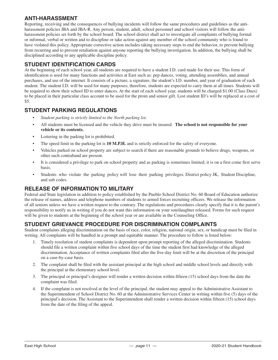## **ANTI-HARASSMENT**

Reporting, receiving and the consequences of bullying incidents will follow the same procedures and guidelines as the antiharassment policies JBA and JBA-R. Any person, student, adult, school personnel and school visitors will follow the antiharassment policies set forth by the school board. The school district shall act to investigate all complaints of bullying formal or informal, verbal or written and to discipline or take action against any member of the school community who is found to have violated this policy. Appropriate corrective action includes taking necessary steps to end the behavior, to prevent bullying from recurring and to prevent retaliation against anyone reporting the bullying investigation. In addition, the bullying shall be disciplined according to any applicable discipline policy.

## **STUDENT IDENTIFICATION CARDS**

At the beginning of each school year, all students are required to have a student I.D. card made for their use. This form of identification is used for many functions and activities at East such as: pep dances, voting, attending assemblies, and annual purchases, and use of the internet. It consists of a picture, a signature, the student's I.D. number, and year of graduation of each student. The student I.D. will be used for many purposes; therefore, students are expected to carry them at all times. Students will be required to show their school ID to enter dances. At the start of each school year, students will be charged \$1.00 (Class Dues) to be placed in their particular class account to be used for the prom and senior gift. Lost student ID's will be replaced at a cost of \$5.

## **STUDENT PARKING REGULATIONS**

- *• Student parking is strictly limited to the North parking lot.*
- All students must be licensed and the vehicle they drive must be insured. **The school is not responsible for your vehicle or its contents.**
- Loitering in the parking lot is prohibited.
- The speed limit in the parking lot is **10 M.P.H.** and is strictly enforced for the safety of everyone.
- Vehicles parked on school property are subject to search if there are reasonable grounds to believe drugs, weapons, or other such contraband are present.
- It is considered a privilege to park on school property and as parking is sometimes limited; it is on a first come first serve basis.
- Students who violate the parking policy will lose their parking privileges. District policy JK, Student Discipline, and sub codes.

## **RELEASE OF INFORMATION TO MILITARY**

Federal and State legislation in addition to policy established by the Pueblo School District No. 60 Board of Education authorize the release of names, address and telephone numbers of students to armed forces recruiting officers. We release the information of all seniors unless we have a written request to the contrary. The regulations and procedures clearly specify that it is the parent's responsibility to notify us in writing if you do not want this information on your son/daughter released. Forms for such request will be given to students at the beginning of the school year or are available in the Counseling Office.

## **STUDENT GRIEVANCE PROCEDURE FOR DISCRIMINATION COMPLAINTS**

Student complaints alleging discrimination on the basis of race, color, religion, national origin, sex, or handicap must be filed in writing. All complaints will be handled in a prompt and equitable manner. The procedure to follow is listed below:

- 1. Timely resolution of student complaints is dependent upon prompt reporting of the alleged discrimination. Students should file a written complaint within five school days of the time the student first had knowledge of the alleged discrimination. Acceptance of written complaints filed after the five-day limit will be at the discretion of the principal on a case-by-case basis.
- 2. The complaint shall be filed with the assistant principal at the high school and middle school levels and directly with the principal at the elementary school level.
- 3. The principal or principal's designee will render a written decision within fifteen (15) school days from the date the complaint was filed.
- 4. If the complaint is not resolved at the level of the principal, the student may appeal to the Administrative Assistant to the Superintendent of School District No. 60 at the Administrative Services Center in writing within five (5) days of the principal's decision. The Assistant to the Superintendent shall render a written decision within fifteen (15) school days from the date of the filing of the appeal.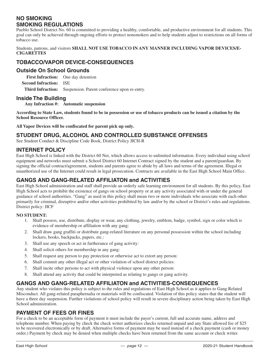## **NO SMOKING SMOKING REGULATIONS**

Pueblo School District No. 60 is committed to providing a healthy, comfortable, and productive environment for all students. This goal can only be achieved through ongoing efforts to protect nonsmokers and to help students adjust to restrictions on all forms of tobacco use.

Students, patrons, and visitors **SHALL NOT USE TOBACCO IN ANY MANNER INCLUDING VAPOR DEVICES/E-CIGARETTES**

## **TOBACCO/VAPOR DEVICE-CONSEQUENCES**

## **Outside On School Grounds**

**First Infraction:** One day detention **Second Infraction:** ISE

**Third Infraction:** Suspension. Parent conference upon re-entry.

## **Inside The Building**

**Any Infraction #: Automatic suspension**

**According to State Law, students found to be in possession or use of tobacco products can be issued a citation by the School Resource Officer.**

**All Vapor Devices will be confiscated for parent pick up only.**

## **STUDENT DRUG, ALCOHOL AND CONTROLLED SUBSTANCE OFFENSES**

See Student Conduct & Discipline Code Book, District Policy JICH-R

## **INTERNET POLICY**

East High School is linked with the District 60 Net, which allows access to unlimited information. Every individual using school equipment and networks must submit a School District 60 Internet Contract signed by the student and a parent/guardian. By signing the official contract/agreement, students and parents agree to abide by all laws and terms of the agreement. Illegal or unauthorized use of the Internet could result in legal prosecution. Contracts are available in the East High School Main Office.

## **GANGS AND GANG-RELATED AFFILIATON and ACTIVITIES**

East High School administration and staff shall provide an orderly safe learning environment for all students. By this policy, East High School acts to prohibit the existence of gangs on school property or at any activity associated with or under the general guidance of school authorities. "Gang" as used in this policy shall mean two or more individuals who associate with each other primarily for criminal, disruptive and/or other activities prohibited by law and/or by the school or District's rules and regulations. District policy: JICF

#### **NO STUDENT:**

- 1. Shall possess, use, distribute, display or wear, any clothing, jewelry, emblem, badge, symbol, sign or color which is evidence of membership or affiliation with any gang:
- 2. Shall draw gang graffiti or distribute gang-related literature on any personal possession within the school including lockers, books, backpacks, papers, etc.:
- 3. Shall use any speech or act in furtherance of gang activity:
- 4. Shall solicit others for membership in any gang:
- 5. Shall request any person to pay protection or otherwise act to extort any person:
- 6. Shall commit any other illegal act or other violation of school district policies:
- 7. Shall incite other persons to act with physical violence upon any other person:
- 8. Shall attend any activity that could be interpreted as relating to gangs or gang activity.

## **GANGS AND GANG-RELATED AFFILIATON and ACTIVITIES-CONSEQUENCES**

Any student who violates this policy is subject to the rules and regulations of East High School as it applies to Gang Related Misconduct. All gang-related paraphernalia or materials will be confiscated. Violation of this policy states that the student will have a three day suspension. Further violations of school policy will result in severe disciplinary action being taken by East High School administration.

## **PAYMENT OF FEES OR FINES**

For a check to be an acceptable form of payment it must include the payer's current, full and accurate name, address and telephone number. When paying by check the check writer authorizes checks returned unpaid and any State allowed fee of \$25 to be recovered electronically or by draft. Alternative forms of payment may be used instead of a check payment (cash or money order.) Payment by check may be denied when multiple checks have been returned from the same account or check writer.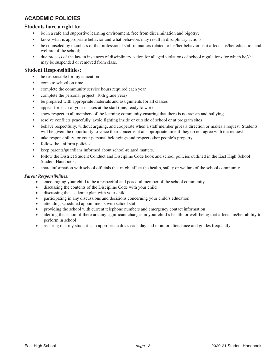## **ACADEMIC POLICIES**

#### **Students have a right to:**

- be in a safe and supportive learning environment, free from discrimination and bigotry;
- know what is appropriate behavior and what behaviors may result in disciplinary actions;
- be counseled by members of the professional staff in matters related to his/her behavior as it affects his/her education and welfare of the school;
- due process of the law in instances of disciplinary action for alleged violations of school regulations for which he/she may be suspended or removed from class.

#### **Student Responsibilities:**

- be responsible for my education
- come to school on time
- complete the community service hours required each year
- complete the personal project (10th grade year)
- be prepared with appropriate materials and assignments for all classes
- appear for each of your classes at the start time, ready to work
- show respect to all members of the learning community ensuring that there is no racism and bullying
- resolve conflicts peacefully, avoid fighting inside or outside of school or at program sites
- behave respectfully, without arguing, and cooperate when a staff member gives a direction or makes a request. Students will be given the opportunity to voice their concerns at an appropriate time if they do not agree with the request
- take responsibility for your personal belongings and respect other people's property
- follow the uniform policies
- keep parents/guardians informed about school-related matters.
- follow the District Student Conduct and Discipline Code book and school policies outlined in the East High School Student Handbook.
- share information with school officials that might affect the health, safety or welfare of the school community

#### *Parent Responsibilities:*

- encouraging your child to be a respectful and peaceful member of the school community
- discussing the contents of the Discipline Code with your child
- discussing the academic plan with your child
- participating in any discussions and decisions concerning your child's education
- attending scheduled appointments with school staff
- providing the school with current telephone numbers and emergency contact information
- alerting the school if there are any significant changes in your child's health, or well-being that affects his/her ability to perform in school
- assuring that my student is in appropriate dress each day and monitor attendance and grades frequently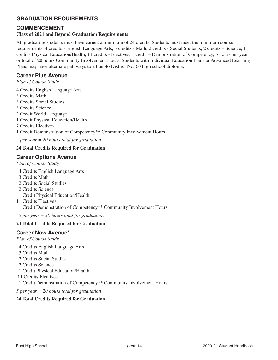## **GRADUATION REQUIREMENTS**

## **COMMENCEMENT**

## **Class of 2021 and Beyond Graduation Requirements**

All graduating students must have earned a minimum of 24 credits. Students must meet the minimum course requirements: 4 credits - English Language Arts, 3 credits - Math, 2 credits - Social Students, 2 credits – Science, 1 credit - Physical Education/Health, 11 credits - Electives, 1 credit – Demonstration of Competency, 5 hours per year or total of 20 hours Community Involvement Hours. Students with Individual Education Plans or Advanced Learning Plans may have alternate pathways to a Pueblo District No. 60 high school diploma.

## **Career Plus Avenue**

*Plan of Course Study*

4 Credits English Language Arts 3 Credits Math 3 Credits Social Studies 3 Credits Science 2 Credit World Language 1 Credit Physical Education/Health 7 Credits Electives 1 Credit Demonstration of Competency\*\* Community Involvement Hours *5 per year = 20 hours total for graduation*

## **24 Total Credits Required for Graduation**

## **Career Options Avenue**

*Plan of Course Study*

4 Credits English Language Arts

- 3 Credits Math
- 2 Credits Social Studies
- 2 Credits Science
- 1 Credit Physical Education/Health

11 Credits Electives

1 Credit Demonstration of Competency\*\* Community Involvement Hours

 *5 per year = 20 hours total for graduation* 

#### **24 Total Credits Required for Graduation**

## **Career Now Avenue\***

*Plan of Course Study*

- 4 Credits English Language Arts
- 3 Credits Math
- 2 Credits Social Studies

2 Credits Science

1 Credit Physical Education/Health

11 Credits Electives

1 Credit Demonstration of Competency\*\* Community Involvement Hours

*5 per year = 20 hours total for graduation* 

#### **24 Total Credits Required for Graduation**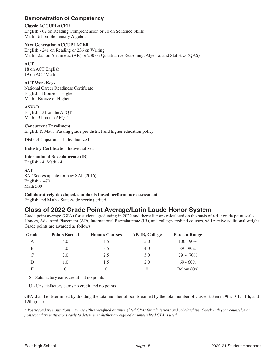## **Demonstration of Competency**

#### **Classic ACCUPLACER**

English - 62 on Reading Comprehension or 70 on Sentence Skills Math - 61 on Elementary Algebra

#### **Next Generation ACCUPLACER**

English - 241 on Reading or 236 on Writing Math - 255 on Arithmetic (AR) or 230 on Quantitative Reasoning, Algebra, and Statistics (QAS)

#### **ACT**

18 on ACT English 19 on ACT Math

#### **ACT WorkKeys**

National Career Readiness Certificate English - Bronze or Higher Math - Bronze or Higher

ASVAB English - 31 on the AFQT Math - 31 on the AFQT

#### **Concurrent Enrollment**

English & Math- Passing grade per district and higher education policy

**District Capstone** – Individualized

**Industry Certificate** – Individualized

#### **International Baccalaureate (IB)**

English - 4 Math - 4

#### **SAT**

SAT Scores update for new SAT (2016) English - 470 Math 500

**Collaboratively-developed, standards-based performance assessment** 

English and Math - State-wide scoring criteria

## **Class of 2022 Grade Point Average/Latin Laude Honor System**

Grade point average (GPA) for students graduating in 2022 and thereafter are calculated on the basis of a 4.0 grade point scale.. Honors, Advanced Placement (AP), International Baccalaureate (IB), and college-credited courses, will receive additional weight. Grade points are awarded as follows:

| Grade | <b>Points Earned</b> | <b>Honors Courses</b> | AP, IB, College | <b>Percent Range</b> |
|-------|----------------------|-----------------------|-----------------|----------------------|
| A     | 4.0                  | 4.5                   | 5.0             | $100 - 90\%$         |
| B     | 3.0                  | 3.5                   | 4.0             | $89 - 90\%$          |
| C     | 2.0                  | 2.5                   | 3.0             | $79 - 70\%$          |
| D     | 1.0                  | 1.5                   | 2.0             | $69 - 60\%$          |
| F     | $\left( \right)$     |                       | $\theta$        | Below $60\%$         |

S - Satisfactory earns credit but no points

U - Unsatisfactory earns no credit and no points

GPA shall be determined by dividing the total number of points earned by the total number of classes taken in 9th, 101, 11th, and 12th grade.

*\* Postsecondary institutions may use either weighted or unweighted GPAs for admissions and scholarships. Check with your counselor or postsecondary institutions early to determine whether a weighted or unweighted GPA is used.*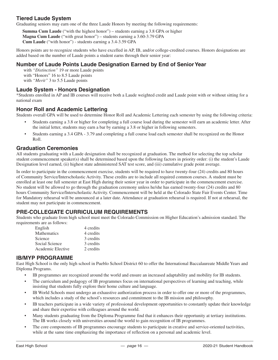## **Tiered Laude System**

Graduating seniors may earn one of the three Laude Honors by meeting the following requirements:

**Summa Cum Laude** ("with the highest honor") – students earning a 3.8 GPA or higher **Magna Cum Laude** ("with great honor") – students earning a 3.60-3.79 GPA **Cum Laude** ("with honor") - students earning a 3.4-3.59 GPA

Honors points are to recognize students who have excelled in AP, IB, and/or college-credited courses. Honors designations are added based on the number of Laude points a student earns through their senior year:

## **Number of Laude Points Laude Designation Earned by End of Senior Year**

 with *"Distinction"* 19 or more Laude points with "Honors" 16 to 8.5 Laude points with *"Merit"* 3 to 5.5 Laude points

## **Laude System - Honors Designation**

\*Students enrolled in AP and IB courses will receive both a Laude weighted credit and Laude point with or without sitting for a national exam

## **Honor Roll and Academic Lettering**

Students overall GPA will be used to determine Honor Roll and Academic Lettering each semester by using the following criteria:

- Students earning a 3.8 or higher for completing a full course load during the semester will earn an academic letter. After the initial letter, students may earn a bar by earning a 3.8 or higher in following semesters.
- Students earning a 3.4 GPA 3.79 and completing a full course load each semester shall be recognized on the Honor Roll.

## **Graduation Ceremonies**

All students graduating with a Laude designation shall be recognized at graduation. The method for selecting the top scholar student commencement speaker(s) shall be determined based upon the following factors in priority order: (i) the student's Laude Designation level earned, (ii) highest state administered SAT test score, and (iii) cumulative grade point average.

In order to participate in the commencement exercise, students will be required to have twenty-four (24) credits and 80 hours of Community Service/Interscholastic Activity. These credits are to include all required common courses. A student must be enrolled at least one full semester at East High during their senior year in order to participate in the commencement exercise. No student will be allowed to go through the graduation ceremony unless he/she has earned twenty-four (24) credits and 80 hours Community Service/Interscholastic Activity. Commencement will be held at the Colorado State Fair Events Center. Time for Mandatory rehearsal will be announced at a later date. Attendance at graduation rehearsal is required. If not at rehearsal, the student may not participate in commencement.

## **PRE-COLLEGIATE CURRICULUM REQUIREMENTS**

Students who graduate from high school must meet the Colorado Commission on Higher Education's admission standard. The requirements are as follows:

| English            | 4 credits |
|--------------------|-----------|
| <b>Mathematics</b> | 4 credits |
| Science            | 3 credits |
| Social Science     | 3 credits |
| Academic Elective  | 2 credits |

## **IB/MYP PROGRAMME**

East High School is the only high school in Pueblo School District 60 to offer the International Baccalaureate Middle Years and Diploma Programs.

- IB programmes are recognized around the world and ensure an increased adaptability and mobility for IB students.
- The curriculum and pedagogy of IB programmes focus on international perspectives of learning and teaching, while insisting that students fully explore their home culture and language.
- IB World Schools must undergo an exhaustive authorization process in order to offer one or more of the programmes, which includes a study of the school's resources and commitment to the IB mission and philosophy.
- IB teachers participate in a wide variety of professional development opportunities to constantly update their knowledge and share their expertise with colleagues around the world.
- Many students graduating from the Diploma Programme find that it enhances their opportunity at tertiary institutions. The IB works closely with universities around the world to gain recognition of IB programmes.
- The core components of IB programmes encourage students to participate in creative and service-oriented tactivities, while at the same time emphasizing the importance of reflection on a personal and academic level.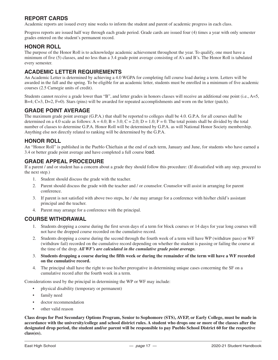## **REPORT CARDS**

Academic reports are issued every nine weeks to inform the student and parent of academic progress in each class.

Progress reports are issued half way through each grade period. Grade cards are issued four (4) times a year with only semester grades entered on the student's permanent record.

## **HONOR ROLL**

The purpose of the Honor Roll is to acknowledge academic achievement throughout the year. To qualify, one must have a minimum of five (5) classes, and no less than a 3.4 grade point average consisting of A's and B's. The Honor Roll is tabulated every semester.

## **ACADEMIC LETTER REQUIREMENTS**

An Academic Letter is determined by achieving a 4.0 WGPA for completing full course load during a term. Letters will be awarded in the fall and the spring. To be eligible for an academic letter, students must be enrolled in a minimum of five academic courses (2.5 Carnegie units of credit).

Students cannot receive a grade lower than "B", and letter grades in honors classes will receive an additional one point (i.e., A=5, B=4; C=3, D=2, F=0). Stars (pins) will be awarded for repeated accomplishments and worn on the letter (patch).

## **GRADE POINT AVERAGE**

The maximum grade point average (G.P.A.) that shall be reported to colleges shall be 4.0. G.P.A. for all courses shall be determined on a 4.0 scale as follows:  $A = 4.0$ ;  $B = 3.0$ ;  $C = 2.0$ ;  $D = 1.0$ ;  $F = 0$ . The total points shall be divided by the total number of classes to determine G.P.A. Honor Roll will be determined by G.P.A. as will National Honor Society membership. Anything else not directly related to ranking will be determined by the G.P.A.

## **HONOR ROLL**

An "Honor Roll" is published in the Pueblo Chieftain at the end of each term, January and June, for students who have earned a 3.4 or better grade point average and have completed a full course load.

## **GRADE APPEAL PROCEDURE**

If a parent / and or student has a concern about a grade they should follow this procedure: (If dissatisfied with any step, proceed to the next step.)

- 1. Student should discuss the grade with the teacher.
- 2. Parent should discuss the grade with the teacher and / or counselor. Counselor will assist in arranging for parent conference.
- 3. If parent is not satisfied with above two steps, he / she may arrange for a conference with his/her child's assistant principal and the teacher.
- 4. Parent may arrange for a conference with the principal.

## **COURSE WITHDRAWAL**

- 1. Students dropping a course during the first seven days of a term for block courses or 14 days for year long courses will not have the dropped course recorded on the cumulative record.
- 2. Students dropping a course during the second through the fourth week of a term will have WP (withdraw pass) or WF (withdraw fail) recorded on the cumulative record depending on whether the student is passing or failing the course at the time of the drop. *All WF's are calculated in the cumulative grade point average.*
- 3. **Students dropping a course during the fifth week or during the remainder of the term will have a WF recorded on the cumulative record.**
- 4. The principal shall have the right to use his/her prerogative in determining unique cases concerning the SF on a cumulative record after the fourth week in a term.

Considerations used by the principal in determining the WP or WF may include:

- physical disability (temporary or permanent)
- family need
- doctor recommendation
- other valid reason

**Class drops for Post Secondary Options Program, Senior to Sophomore (STS), AVEP, or Early College, must be made in accordance with the university/college and school district rules. A student who drops one or more of the classes after the designated drop period, the student and/or parent will be responsible to pay Pueblo School District 60 for the respective class(es).**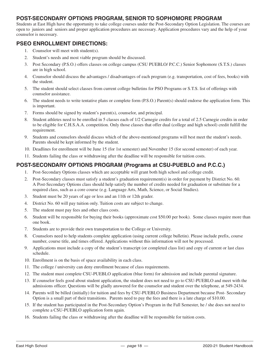## **POST-SECONDARY OPTIONS PROGRAM, SENIOR TO SOPHOMORE PROGRAM**

Students at East High have the opportunity to take college courses under the Post-Secondary Option Legislation. The courses are open to juniors and seniors and proper application procedures are necessary. Application procedures vary and the help of your counselor is necessary.

## **PSEO ENROLLMENT DIRECTIONS:**

- 1. Counselor will meet with student(s).
- 2. Student's needs and most viable program should be discussed.
- 3. Post Secondary (P.S.O.) offers classes on college campus (CSU PUEBLO/ P.C.C.) Senior Sophomore (S.T.S.) classes are in high school.
- 4. Counselor should discuss the advantages / disadvantages of each program (e.g. transportation, cost of fees, books) with the student.
- 5. The student should select classes from current college bulletins for PSO Programs or S.T.S. list of offerings with counselor assistance.
- 6. The student needs to write tentative plans or complete form (P.S.O.) Parent(s) should endorse the application form. This is important.
- 7. Forms should be signed by student's parent(s), counselor, and principal.
- 8. Student athletes need to be enrolled in 5 classes each of 1/2 Carnegie credits for a total of 2.5 Carnegie credits in order to be eligible for C.H.S.A.A. competition. Only those classes that offer dual (college and high school) credit fulfill the requirement.
- 9. Students and counselors should discuss which of the above-mentioned programs will best meet the student's needs. Parents should be kept informed by the student.
- 10. Deadlines for enrollment will be June 15 (for 1st semester) and November 15 (for second semester) of each year.
- 11. Students failing the class or withdrawing after the deadline will be responsible for tuition costs.

## **POST-SECONDARY OPTIONS PROGRAM (Programs at CSU-PUEBLO and P.C.C.)**

- 1. Post-Secondary Options classes which are acceptable will grant both high school and college credit.
- 2. Post-Secondary classes must satisfy a student's graduation requirement(s) in order for payment by District No. 60. A Post-Secondary Options class should help satisfy the number of credits needed for graduation or substitute for a required class, such as a core course (e.g. Language Arts, Math, Science, or Social Studies).
- 3. Student must be 20 years of age or less and an 11th or 12th grader.
- 4. District No. 60 will pay tuition only. Tuition costs are subject to change.
- 5. The student must pay fees and other class costs.
- 6. Student will be responsible for buying their books (approximate cost \$50.00 per book). Some classes require more than one book.
- 7. Students are to provide their own transportation to the College or University.
- 8. Counselors need to help students complete application (using current college bulletin). Please include prefix, course number, course title, and times offered. Applications without this information will not be processed.
- 9. Applications must include a copy of the student's transcript (or completed class list) and copy of current or last class schedule.
- 10. Enrollment is on the basis of space availability in each class.
- 11. The college / university can deny enrollment because of class requirements.
- 12. The student must complete CSU-PUEBLO application (blue form) for admission and include parental signature.
- 13. If counselor feels good about student application, the student does not need to go to CSU-PUEBLO and meet with the admissions officer. Questions will be gladly answered for the counselor and student over the telephone, at 549-2434.
- 14. Parents will be billed (initially) for tuition and fees by CSU-PUEBLO Business Department because Post- Secondary Option is a small part of their transitions. Parents need to pay the fees and there is a late charge of \$10.00.
- 15. If the student has participated in the Post-Secondary Option's Program in the Fall Semester, he / she does not need to complete a CSU-PUEBLO application form again.
- 16. Students failing the class or withdrawing after the deadline will be responsible for tuition costs.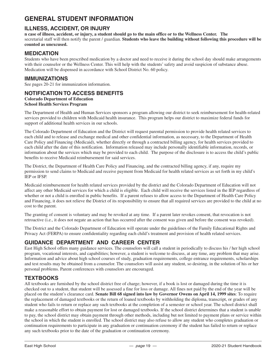## **GENERAL STUDENT INFORMATION**

## **ILLNESS, ACCIDENT, OR INJURY**

**n case of illness, accident, or injury, a student should go to the main office or to the Wellness Center. The** secretarial staff will then notify the parent / guardian. **Students who leave the building without following this procedure will be counted as unexcused.**

## **MEDICATION**

Students who have been prescribed medication by a doctor and need to receive it during the school day should make arrangements with their counselor or the Wellness Center. This will help with the students' safety and avoid suspicion of substance abuse. Medication will be dispensed in accordance with School District No. 60 policy.

## **IMMUNIZATIONS**

See pages 20-21 for immunization information.

## **NOTIFICATION TO ACCESS BENEFITS**

## **Colorado Department of Education**

**School Health Services Program**

The Department of Health and Human Services sponsors a program allowing our district to seek reimbursement for health-related services provided to children with Medicaid health insurance. This program helps our district to maximize federal funds for support of additional health services in our schools.

The Colorado Department of Education and the District will request parental permission to provide health related services to each child and to release and exchange medical and other confidential information, as necessary, to the Department of Health Care Policy and Financing (Medicaid), whether directly or through a contracted billing agency, for health services provided to each child after the date of this notification. Information released may include personally identifiable information, records, or information about the services which may be provided to each child. The purpose of the disclosure is to access the child's public benefits to receive Medicaid reimbursement for said services.

The District, the Department of Health Care Policy and Financing, and the contracted billing agency, if any, require my permission to send claims to Medicaid and receive payment from Medicaid for health related services as set forth in my child's IEP or IFSP.

Medicaid reimbursement for health related services provided by the district and the Colorado Department of Education will not affect any other Medicaid services for which a child is eligible. Each child will receive the services listed in the IEP regardless of whether or not a child is enrolled in public benefits. If a parent refuses to allow access to the Department of Health Care Policy and Financing, it does not relieve the District of its responsibility to ensure that all required services are provided to the child at no cost to the parent.

The granting of consent is voluntary and may be revoked at any time. If a parent later revokes consent, that revocation is not retroactive (i.e., it does not negate an action that has occurred after the consent was given and before the consent was revoked).

The District and the Colorado Department of Education will operate under the guidelines of the Family Educational Rights and Privacy Act (FERPA) to ensure confidentiality regarding each child's treatment and provision of health related services.

## **GUIDANCE DEPARTMENT AND CAREER CENTER**

East High School offers many guidance services. The counselors will call a student in periodically to discuss his / her high school program, vocational interests, and capabilities; however, a student is welcome to discuss, at any time, any problem that may arise. Information and advice about high school courses of study, graduation requirements, college entrance requirements, scholarships and test results may be obtained from a counselor. The counselors will assist any student, so desiring, in the solution of his or her personal problems. Parent conferences with counselors are encouraged.

## **TEXTBOOKS**

All textbooks are furnished by the school district free of charge; however, if a book is lost or damaged during the time it is checked out to a student, that student will be assessed a fine for loss or damage. All fines not paid by the end of the year will be placed on the student's clearance card. **Senate Bill 68 signed into law by Governor Owens on April 14, 1999 sites**: To require the replacement of damaged textbooks or the return of loaned textbooks by withholding the diploma, transcript, or grades of any student who fails to return or replace any such textbooks at the completion of a semester or school year. The school district shall make a reasonable effort to obtain payment for lost or damaged textbooks. If the school district determines that a student is unable to pay, the school district may obtain payment through other methods, including but not limited to payment plans or service within the school in which the student is enrolled. The school district may also refuse to allow any student who completes graduation or continuation requirements to participate in any graduation or continuation ceremony if the student has failed to return or replace any such textbooks prior to the date of the graduation or continuation ceremony.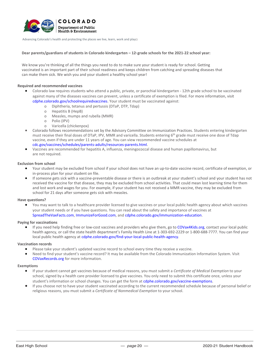

Advancing Colorado's health and protecting the places we live, learn, work and play□

#### Dear parents/guardians of students in Colorado kindergarten – 12<sup>th</sup> grade schools for the 2021-22 school year:

We know you're thinking of all the things you need to do to make sure your student is ready for school. Getting vaccinated is an important part of their school readiness and keeps children from catching and spreading diseases that can make them sick. We wish you and your student a healthy school year!

#### **Required and recommended vaccines**

- Colorado law requires students who attend a public, private, or parochial kindergarten 12th grade school to be vaccinated against many of the diseases vaccines can prevent, unless a certificate of exemption is filed. For more information, visit cdphe.colorado.gov/schoolrequiredvaccines. Your student must be vaccinated against:
	- o Diphtheria, tetanus and pertussis (DTaP, DTP, Tdap)
	- o Hepatitis B (HepB)
	- o Measles, mumps and rubella (MMR)
	- o Polio (IPV)
	- o Varicella (chickenpox)
- Colorado follows recommendations set by the Advisory Committee on Immunization Practices. Students entering kindergarten must receive their final doses of DTaP, IPV, MMR and varicella. Students entering 6<sup>th</sup> grade must receive one dose of Tdap vaccine, even if they are under 11 years of age. You can view recommended vaccine schedules at cdc.gov/vaccines/schedules/parents-adults/resources-parents.html.
- Vaccines are recommended for hepatitis A, influenza, meningococcal disease and human papillomavirus, but are not required.

#### **Exclusion from school**

- Your student may be excluded from school if your school does not have an up-to-date vaccine record, certificate of exemption, or in-process plan for your student on file.
- If someone gets sick with a vaccine-preventable disease or there is an outbreak at your student's school and your student has not received the vaccine for that disease, they may be excluded from school activities. That could mean lost learning time for them and lost work and wages for you. For example, if your student has not received a MMR vaccine, they may be excluded from school for 21 days after someone gets sick with measles.

#### **Have questions?**

• You may want to talk to a healthcare provider licensed to give vaccines or your local public health agency about which vaccines your student needs or if you have questions. You can read about the safety and importance of vaccines at SpreadTheVaxFacts.com, ImmunizeForGood.com, and cdphe.colorado.gov/immunization-education.

#### **Paying for vaccinations**

If you need help finding free or low-cost vaccines and providers who give them, go to COVax4Kids.org, contact your local public health agency, or call the state health department's Family Health Line at 1-303-692-2229 or 1-800-688-7777. You can find your local public health agency at cdphe.colorado.gov/find-your-local-public-health-agency.

#### **Vaccination records**

- Please take your student's updated vaccine record to school every time they receive a vaccine.
- Need to find your student's vaccine record? It may be available from the Colorado Immunization Information System. Visit COVaxRecords.org for more information.

#### **Exemptions**

- If your student cannot get vaccines because of medical reasons, you must submit a *Certificate of Medical Exemption* to your school, signed by a health care provider licensed to give vaccines. You only need to submit this certificate once, unless your student's information or school changes. You can get the form at cdphe.colorado.gov/vaccine-exemptions.
- If you choose not to have your student vaccinated according to the current recommended schedule because of personal belief or religious reasons, you must submit a *Certificate of Nonmedical Exemption* to your school.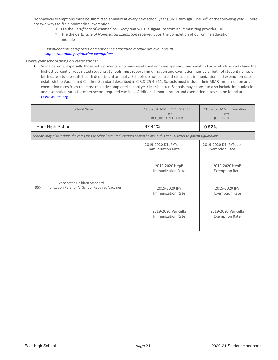Nonmedical exemptions must be submitted annually at every new school year (July 1 through June 30<sup>th</sup> of the following year). There are two ways to file a nonmedical exemption.

- File the *Certificate of Nonmedical Exemption* WITH a signature from an immunizing provider, OR
- File the *Certificate of Nonmedical Exemption* received upon the completion of our online education module.

*Downloadable certificates and our online education module are available at cdphe.colorado.gov/vaccine-exemptions.* 

#### **How's your school doing on vaccinations?**

• Some parents, especially those with students who have weakened immune systems, may want to know which schools have the highest percent of vaccinated students. Schools must report immunization and exemption numbers (but not student names or birth dates) to the state health department annually. Schools do not control their specific immunization and exemption rates or establish the Vaccinated Children Standard described in C.R.S. 25-4-911. Schools must include their MMR immunization and exemption rates from the most recently completed school year in this letter. Schools may choose to also include immunization and exemption rates for other school-required vaccines. Additional immunization and exemption rates can be found at COVaxRates.org.

| School Name                                                                                                                | 2019-2020 MMR Immunization<br>Rate<br>REQUIRED IN LETTER | 2019-2020 MMR Exemption<br>Rate<br><b>REQUIRED IN LETTER</b> |  |  |  |  |
|----------------------------------------------------------------------------------------------------------------------------|----------------------------------------------------------|--------------------------------------------------------------|--|--|--|--|
| East High School                                                                                                           | 97.41%                                                   | 0.52%                                                        |  |  |  |  |
| Schools may also include the rates for the school-required vaccines shown below in this annual letter to parents/guardians |                                                          |                                                              |  |  |  |  |
|                                                                                                                            | 2019-2020 DTaP/Tdap<br>Immunization Rate                 | 2019-2020 DTaP/Tdap<br><b>Exemption Rate</b>                 |  |  |  |  |
|                                                                                                                            |                                                          |                                                              |  |  |  |  |
|                                                                                                                            | 2019-2020 HepB                                           | 2019-2020 HepB                                               |  |  |  |  |
|                                                                                                                            | Immunization Rate                                        | <b>Exemption Rate</b>                                        |  |  |  |  |
| Vaccinated Children Standard                                                                                               |                                                          |                                                              |  |  |  |  |
| 95% Immunization Rate for All School-Required Vaccines                                                                     | 2019-2020 IPV                                            | 2019-2020 IPV                                                |  |  |  |  |
|                                                                                                                            | <b>Immunization Rate</b>                                 | <b>Exemption Rate</b>                                        |  |  |  |  |
|                                                                                                                            |                                                          |                                                              |  |  |  |  |
|                                                                                                                            | 2019-2020 Varicella                                      | 2019-2020 Varicella                                          |  |  |  |  |
|                                                                                                                            | Immunization Rate                                        | <b>Exemption Rate</b>                                        |  |  |  |  |
|                                                                                                                            |                                                          |                                                              |  |  |  |  |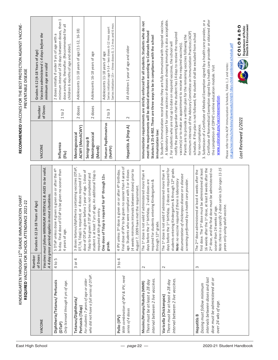| RECOMMENDED VACCINES FOR THE BEST PROTECTION AGAINST VACCINE<br>PREVENTABLE DISEASE                                    | Grades K-12 (4-18 Years of Age)                                 | Vaccines administered $\leq 4$ days before the<br>minimum age are valid                                        | minimum interval of 28 days between doses, then 1<br>dose annually, thereafter. (Recommended for all<br>2 doses initially if under 9 yrs of age with a<br>children 6 months of age and older). | Adolescents 11-18 years of age (11-12, 16-18)                                                                  | Adolescents 16-18 years of age                                                                                                                                                                             | Series initiation 15+ - three doses 0, 1-2 mos and 6 mos<br>Series initiation age 9-14 - two doses 6-12 mos apart<br>Adolescents 11-18 years of age | All children 1 year of age and older                                                                                                                                                                                                                                                                | Immunization requirements are strictly enforced for all students. Students who do not<br>meet the requirements will be denied attendance according to Colorado Revised<br>Statutes § 25-4-902. There are three ways to be in compliance with the school<br>immunization law: | A laboratory report for some vaccines or diseases showing immunity is also acceptable.<br>1. Student's immunization record shows they are fully immunized with required vaccines.<br>minimum intervals of the Advisory Committee on Immunization Practices (ACIP)<br>notify the parent/guardian that the student has 14 days to receive the required<br>Parents are to provide a written plan for the remaining vaccines following the<br>For students who are not up to date on required vaccines, the school will<br>vaccine(s) or to make an appointment to receive the required vaccine(s). | Certificate of Nonmedical Exemption signed by a health care provider or obtained after<br>Submission of a Certificate of Medical Exemption signed by a health care provider, or a<br>schedule. If the plan is not followed, the student shall be excluded from school<br>cdc.gov/vaccines/schedules/downloads/child/0-18yrs-child-combined-schedule.pdf                                   | Department of Public<br>Health & Environment<br>COLORADO |
|------------------------------------------------------------------------------------------------------------------------|-----------------------------------------------------------------|----------------------------------------------------------------------------------------------------------------|------------------------------------------------------------------------------------------------------------------------------------------------------------------------------------------------|----------------------------------------------------------------------------------------------------------------|------------------------------------------------------------------------------------------------------------------------------------------------------------------------------------------------------------|-----------------------------------------------------------------------------------------------------------------------------------------------------|-----------------------------------------------------------------------------------------------------------------------------------------------------------------------------------------------------------------------------------------------------------------------------------------------------|------------------------------------------------------------------------------------------------------------------------------------------------------------------------------------------------------------------------------------------------------------------------------|-------------------------------------------------------------------------------------------------------------------------------------------------------------------------------------------------------------------------------------------------------------------------------------------------------------------------------------------------------------------------------------------------------------------------------------------------------------------------------------------------------------------------------------------------------------------------------------------------|-------------------------------------------------------------------------------------------------------------------------------------------------------------------------------------------------------------------------------------------------------------------------------------------------------------------------------------------------------------------------------------------|----------------------------------------------------------|
|                                                                                                                        | Number                                                          | of Doses<br>VACCINE                                                                                            | 1 to 2<br>Influenza<br>(Flu)                                                                                                                                                                   | 2 doses<br>ACWY (MenACWY)<br>Meningococcal                                                                     | 2 doses<br>Meningococcal<br>Serogroup B<br>(MenB)                                                                                                                                                          | S<br>2 to<br>Human Papillomavirus<br>(VdHv(6)                                                                                                       | $\sim$<br>Hepatitis A (Hep A)                                                                                                                                                                                                                                                                       |                                                                                                                                                                                                                                                                              | $\overline{\sim}$                                                                                                                                                                                                                                                                                                                                                                                                                                                                                                                                                                               | Please refer to the ACIP Immunization Schedule, Table 1, 2 and notes:<br>the completion of CDPHE's online education module. Visit<br>www.colorado.gov/vaccineexemption.<br>for non-compliance.<br>ന്                                                                                                                                                                                      | Last Reviewed 1/2021                                     |
| KINDERGARTEN THROUGH 12 <sup>TH</sup> GRADE IMMUNIZATION CHART<br>ICE 2021-22<br>REQUIRED VACCINES FOR SCHOOL ATTENDAN | ears of Age)<br>Grades K-12 (4-18 Y                             | Vaccines must follow MINIMUM INTERVALS & AGES to be valid.<br>A 4 day grace period applies in most situations. | 4 given is given on or after the 4 <sup>th</sup><br>DTaP to be given no sooner than<br>b-day. Final dose of<br>5 DTaP unless dose<br>4 years of age.                                           | 3 doses tetanus/diphtheria containing vaccines (DTaP,<br>DT, Td, Tdap) is required, or 4 doses required if 1st | dose of DTaP is given before 1 year of age. 1 dose of<br>student is at least 7 yrs of age. An additional Tdap is<br>Tdap to be given if DTaP series not completed and<br>le entry.<br>required at 6th grad | One dose of Tdap is required for 6 <sup>th</sup> through 12th<br>grade.                                                                             | Final dose of IPV to be given no sooner than 4 years of<br>(4 weeks minimum intervals between doses) prior to<br>age. Students who were compliant with 3 or 4 doses<br>4 IPV unless 3 <sup>rd</sup> dose is given on or after 4 <sup>th</sup> birthday.<br>August 7, 2009 have met the requirement. | The 1st dose is not valid if administered more than 4<br>required for students entering Kindergarten &<br>days before the 1st birthday. 2 valid doses are<br>through 12 <sup>th</sup> grade.                                                                                 | days before the 1st birthday. 2 doses are required for<br>students entering Kindergarten & through 12 <sup>th</sup> grade.<br>The 1st dose is not valid if administered more than 4<br>documentation of chickenpox disease or a disease<br>Note: no vaccine required if there is laboratory<br>screening performed by a health care provider.                                                                                                                                                                                                                                                   | Note: there is a specific 2-dose series is for ages 11-15<br>16 weeks after the 1st dose, at least 8 weeks after the<br>first dose. The 3rd dose must be administered at least<br>2 <sup>nd</sup> dose, and the final dose must be administered no<br>The 2 <sup>nd</sup> dose administered at least 4 weeks after the<br>years only using adult vaccine.<br>sooner than 24 weeks of age. |                                                          |
|                                                                                                                        | of Doses<br>Number                                              |                                                                                                                | 4 to 5                                                                                                                                                                                         | 4<br>ŏ<br>$\infty$                                                                                             |                                                                                                                                                                                                            |                                                                                                                                                     | $3$ to $4$                                                                                                                                                                                                                                                                                          | $\sim$                                                                                                                                                                                                                                                                       | $\sim$                                                                                                                                                                                                                                                                                                                                                                                                                                                                                                                                                                                          | 3                                                                                                                                                                                                                                                                                                                                                                                         |                                                          |
|                                                                                                                        |                                                                 | VACCINE                                                                                                        | Diphtheria/Tetanus/ Pertussis<br>Only licensed through 6 yrs of age.<br>(D <sub>TaP</sub> )                                                                                                    | Tetanus/Diphtheria<br>Pertussis (Tdap)                                                                         | who did not have a full series of DTaP.<br>For students 7 years of age or older                                                                                                                            |                                                                                                                                                     | With combination of OPV & IPV, need<br>series of 4 doses<br>Polio (IPV)                                                                                                                                                                                                                             | interval between 2 live vaccines.<br>There must be at least a 28 day<br>Measles/Mumps/Rubella (MMR)                                                                                                                                                                          | interval between 2 live vaccines.<br>There must be at least a 28 day<br>Varicella (Chickenpox)                                                                                                                                                                                                                                                                                                                                                                                                                                                                                                  | intervals between doses and last<br>dose must be administered at or<br>Dosing must follow minimum<br>over 24 wks of age.<br><b>Hepatitis B</b>                                                                                                                                                                                                                                            |                                                          |
|                                                                                                                        | East High School<br>2020-21 Student Handbook<br>$-$ page 22 $-$ |                                                                                                                |                                                                                                                                                                                                |                                                                                                                |                                                                                                                                                                                                            |                                                                                                                                                     |                                                                                                                                                                                                                                                                                                     |                                                                                                                                                                                                                                                                              |                                                                                                                                                                                                                                                                                                                                                                                                                                                                                                                                                                                                 |                                                                                                                                                                                                                                                                                                                                                                                           |                                                          |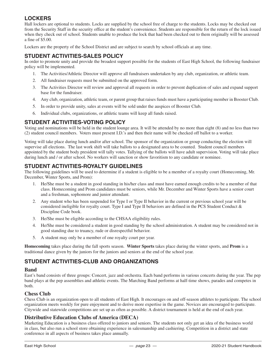## **LOCKERS**

Hall lockers are optional to students. Locks are supplied by the school free of charge to the students. Locks may be checked out from the Security Staff in the security office at the student's convenience. Students are responsible for the return of the lock issued when they check out of school. Students unable to produce the lock that had been checked out to them originally will be assessed a fine of \$5.00.

Lockers are the property of the School District and are subject to search by school officials at any time.

## **STUDENT ACTIVITIES-SALES POLICY**

In order to promote unity and provide the broadest support possible for the students of East High School, the following fundraiser policy will be implemented.

- 1. The Activities/Athletic Director will approve all fundraisers undertaken by any club, organization, or athletic team.
- 2. All fundraiser requests must be submitted on the approved form.
- 3. The Activities Director will review and approval all requests in order to prevent duplication of sales and expand support base for the fundraiser.
- 4. Any club, organization, athletic team, or parent group that raises funds must have a participating member in Booster Club.
- 5. In order to provide unity, sales at events will be sold under the auspices of Booster Club.
- 6. Individual clubs, organizations, or athletic teams will keep all funds raised.

## **STUDENT ACTIVITIES-VOTING POLICY**

Voting and nominations will be held in the student lounge area. It will be attended by no more than eight (8) and no less than two (2) student council members. Voters must present I.D.'s and then their name will be checked off ballot to a worker.

Voting will take place during lunch and/or after school. The sponsor of the organization or group conducting the election will supervise all elections. The last work shift will take ballots to a designated area to be counted. Student council members appointed by the student body president will tally votes. Tallying of the ballots will have adult supervision. Voting will take place during lunch and / or after school. No workers will sanction or show favoritism to any candidate or nominee.

## **STUDENT ACTIVITIES-ROYALTY GUIDELINES**

The following guidelines will be used to determine if a student is eligible to be a member of a royalty court (Homecoming, Mr. December, Winter Sports, and Prom):

- 1. He/She must be a student in good standing in his/her class and must have earned enough credits to be a member of that class. Homecoming and Prom candidates must be seniors, while Mr. December and Winter Sports have a senior court and a freshman, sophomore and junior attendant.
- 2. Any student who has been suspended for Type I or Type II behavior in the current or previous school year will be considered ineligible for royalty court. Type I and Type II behaviors are defined in the PCS Student Conduct & Discipline Code book.
- 3. He/She must be eligible according to the CHSAA eligibility rules.
- 4. He/She must be considered a student in good standing by the school administration. A student may be considered not in good standing due to truancy, rude or disrespectful behavior.
- 5. A student may only be a member of one royalty court per year.

**Homecoming** takes place during the fall sports season. **Winter Sports** takes place during the winter sports, and **Prom** is a traditional dance given by the juniors for the juniors and seniors at the end of the school year.

## **STUDENT ACTIVITIES-CLUB AND ORGANIZATIONS**

#### **Band**

East's band consists of three groups: Concert, jazz and orchestra. Each band performs in various concerts during the year. The pep band plays at the pep assemblies and athletic events. The Marching Band performs at half-time shows, parades and competes in both.

#### **Chess Club**

Chess Club is an organization open to all students of East High. It encourages on and off-season athletes to participate. The school organization meets weekly for pure enjoyment and to derive more expertise in the game. Novices are encouraged to participate. Citywide and statewide competitions are set up as often as possible. A district tournament is held at the end of each year.

## **Distributive Education Clubs of America (DECA)**

Marketing Education is a business class offered to juniors and seniors. The students not only get an idea of the business world in class, but also run a school store obtaining experience in salesmanship and cashiering. Competition in a district and state conference in all aspects of business takes place annually.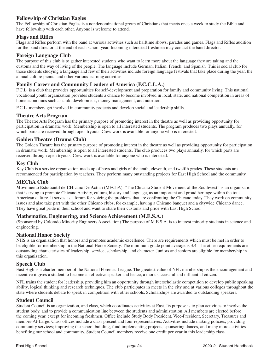## **Fellowship of Christian Eagles**

The Fellowship of Christian Eagles is a nondenominational group of Christians that meets once a week to study the Bible and have fellowship with each other. Anyone is welcome to attend.

## **Flags and Rifles**

Flags and Rifles perform with the band at various activities such as halftime shows, parades and games. Flags and Rifles audition for the band director at the end of each school year. Incoming interested freshmen may contact the band director.

## **Foreign Language Club**

The purpose of this club is to gather interested students who want to learn more about the language they are taking and the customs and the way of living of the people. The language include German, Italian, French, and Spanish This is social club for those students studying a language and few of their activities include foreign language festivals that take place during the year, the annual culture picnic, and other various learning activities.

## **Family Career and Community Leaders of America (F.C.C.L.A.)**

F.C.L. is a club that provides opportunities for self-development and preparation for family and community living. This national vocational youth organization provides students a chance to become involved in local, state, and national competition in areas of home economics such as child development, money management, and nutrition.

F.C.L. members get involved in community projects and develop social and leadership skills.

## **Theatre Arts Program**

The Theatre Arts Program has the primary purpose of promoting interest in the theatre as well as providing opportunity for participation in dramatic work. Membership is open to all interested students. The program produces two plays annually, for which parts are received through open tryouts. Crew work is available for anyone who is interested.

## **Golden Theatre (Drama Club)**

The Golden Theatre has the primary purpose of promoting interest in the theatre as well as providing opportunity for participation in dramatic work. Membership is open to all interested students. The club produces two plays annually, for which parts are received through open tryouts. Crew work is available for anyone who is interested.

## **Key Club**

Key Club is a service organization made up of boys and girls of the tenth, eleventh, and twelfth grades. These students are recommended for participation by teachers. They perform many outstanding projects for East High School and the community.

## **MEChA Club**

**M**ovimiento **E**studiantil de **CH**icano De **A**ctian (MEChA), "The Chicano Student Movement of the Southwest" is an organization that is trying to promote Chicano Activity, culture, history and language, as an important and proud heritage within the total American culture. It serves as a forum for voicing the problems that are confronting the Chicano today. They work on community issues and also take part with the other Chicano clubs; for example, having a Chicano banquet and a citywide Chicano dance. They have great pride in their school and want to share their customs and pride with East High Schoo.

#### **Mathematics, Engineering, and Science Achievement (M.E.S.A.)**

(Sponsored by Colorado Minority Engineers Association) The purpose of M.E.S.A. is to interest minority students in science and engineering.

## **National Honor Society**

NHS is an organization that honors and promotes academic excellence. There are requirements which must be met in order to be eligible for membership in the National Honor Society. The minimum grade point average is 3.4. The other requirements are outstanding characteristics of leadership, service, scholarship, and character. Juniors and seniors are eligible for membership in this organization.

## **Speech Club**

East High is a charter member of the National Forensic League. The greatest value of NFL membership is the encouragement and incentive it gives a student to become an effective speaker and hence, a more successful and influential citizen.

NFL trains the student for leadership, providing him an opportunity through interscholastic competition to develop public speaking ability, logical thinking and research techniques. The club participates in meets in the city and at various colleges throughout the state where students debate to speak in competition with other schools. Scholarships are awarded to outstanding speakers.

#### **Student Council**

Student Council is an organization, and class, which coordinates activities at East. Its purpose is to plan activities to involve the student body, and to provide a communication line between the students and administration. All members are elected before the coming year, except for incoming freshmen. Office include Study Body President, Vice-President, Secretary, Treasurer and member-At-Large. Class offices include a class present and four representatives. Activities include making policies, providing community services; improving the school building, fund implementing projects, sponsoring dances, and many more activities benefiting our school and community. Student Council members receive one credit per year in this leadership class.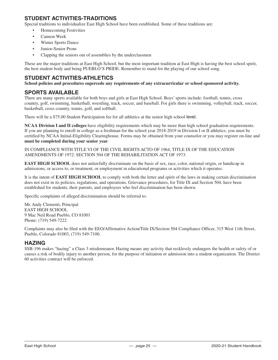## **STUDENT ACTIVITIES-TRADITIONS**

Special traditions to individualize East High School have been established. Some of these traditions are:

- Homecoming Festivities
- Cannon Week
- **Winter Sports Dance**
- Junior-Senior Prom
- Clapping the seniors out of assemblies by the underclassmen

These are the major traditions at East High School, but the most important tradition at East High is having the best school spirit, the best student body and being PUEBLO'S PRIDE. Remember to stand for the playing of our school song.

## **STUDENT ACTIVITIES-ATHLETICS**

**School policies and procedures supercede any requirements of any extracurricular or school sponsored activity.**

## **SPORTS AVAILABLE**

There are many sports available for both boys and girls at East High School. Boys' sports include: football, tennis, cross country, golf, swimming, basketball, wrestling, track, soccer, and baseball. For girls there is swimming, volleyball, track, soccer, basketball, cross country, tennis, golf, and softball.

There will be a \$75.00 Student Participation fee for all athletics at the senior high school level.

**NCAA Division I and II colleges** have eligibility requirements which may be more than high school graduation requirements. If you are planning to enroll in college as a freshman for the school year 2018-2019 in Division I or II athletics, you must be certified by NCAA Initial-Eligibility Clearinghouse. Forms may be obtained from your counselor or you may register on-line and **must be completed during your senior year**.

IN COMPLIANCE WITH TITLE VI OF THE CIVIL RIGHTS ACTO OF 1964, TITLE IX OF THE EDUCATION AMENDMENTS OF 1972: SECTION 504 OF THE REHABILITATION ACT OF 1973:

**EAST HIGH SCHOOL** does not unlawfully discriminate on the basis of sex, race, color, national origin, or handicap in admissions, or access to, or treatment, or employment in educational programs or activities which it operates.

It is the intent of **EAST HIGH SCHOOL** to comply with both the letter and spirit of the laws in making certain discrimination does not exist in its policies, regulations, and operations. Grievance procedures, for Title IX and Section 504, have been established for students, their parents, and employees who feel discrimination has been shown.

Specific complaints of alleged discrimination should be referred to:

Mr. Andy Clementi, Principal EAST HIGH SCHOOL 9 Mac Neil Road Pueblo, CO 81001 Phone: (719) 549-7222

Complaints may also be filed with the EEO/Affirmative Action/Title IX/Section 504 Compliance Officer, 315 West 11th Street, Pueblo, Colorado 81003, (719) 549-7100.

## **HAZING**

SSB-196 makes "hazing" a Class 3 misdemeanor. Hazing means any activity that recklessly endangers the health or safety of or causes a risk of bodily injury to another person, for the purpose of initiation or admission into a student organization. The District 60 activities contract will be enforced.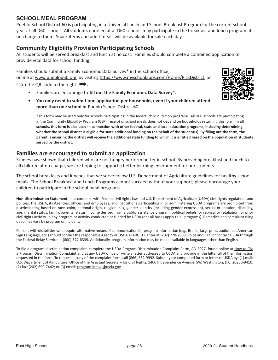## **SCHOOL MEAL PROGRAM**

Pueblo School District 60 is participating in a Universal Lunch and School Breakfast Program for the current school year at all D60 schools. All students enrolled at at D60 schools may participate in the breakfast and lunch program at no charge to them. Snack items and adult meals will be available for sale each day.

## **Community Eligibility Provision Participating Schools**

All students will be served breakfast and lunch at no cost. Families should complete a combined application to provide vital data for school funding.

Families should submit a Family Economic Data Survey\* in the school office, online at www.pueblod60.org, by visiting https://www.myschoolapps.com/Home/PickDistrict, or scan the QR code to the right  $\Pi$ .

- Families are encourage to **fill out the Family Economic Data Survey\*.**
- **• You only need to submit one application per household, even if your children attend more than one school in** Pueblo School District 60.

\*This form may be used only for schools participating in the federal child nutrition programs. All D60 schools are participating in the Community Eligibility Program (CEP), receipt of school meals does not depend on households returning this form. **In all schools, this form is also used in connection with other federal, state and local education programs, including determining whether the school district is eligible for state additional funding on the behalf of the student(s). By filling out the form, the parent is ensuring the district will receive the additional state funding to which it is entitled based on the population of students served by the district.**

## **Families are encouraged to submit an application**

Studies have shown that children who are not hungry perform better in school. By providing breakfast and lunch to all children at no charge, we are hoping to support a better learning environment for our students.

The school breakfasts and lunches that we serve follow U.S. Department of Agriculture guidelines for healthy school meals. The School Breakfast and Lunch Programs cannot succeed without your support; please encourage your children to participate in the school meal programs.

**Non-discrimination Statement:** In accordance with Federal civil rights law and U.S. Department of Agriculture (USDA) civil rights regulations and policies, the USDA, its Agencies, offices, and employees, and institutions participating in or administering USDA programs are prohibited from discriminating based on race, color, national origin, religion, sex, gender identity (including gender expression), sexual orientation, disability, age, marital status, family/parental status, income derived from a public assistance program, political beliefs, or reprisal or retaliation for prior civil rights activity, in any program or activity conducted or funded by USDA (not all bases apply to all programs). Remedies and complaint filing deadlines vary by program or incident.

Persons with disabilities who require alternative means of communication for program information (e.g., Braille, large print, audiotape, American Sign Language, etc.) should contact the responsible Agency or USDA's TARGET Center at (202) 720-2600 (voice and TTY) or contact USDA through the Federal Relay Service at (800) 877-8339. Additionally, program information may be made available in languages other than English.

To file a program discrimination complaint, complete the USDA Program Discrimination Complaint Form, AD-3027, found online at How to File a Program Discrimination Complaint and at any USDA office or write a letter addressed to USDA and provide in the letter all of the information requested in the form. To request a copy of the complaint form, call (866) 632-9992. Submit your completed form or letter to USDA by: (1) mail: U.S. Department of Agriculture, Office of the Assistant Secretary for Civil Rights, 1400 Independence Avenue, SW, Washington, D.C. 20250-9410; (2) fax: (202) 690-7442; or (3) email: program.intake@usda.gov.

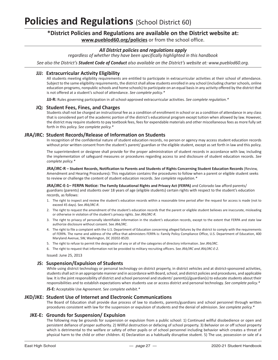# **Policies and Regulations** (School District 60)

## **\*District Policies and Regulations are available on the District website at: www.pueblod60.org/policies** or from the school office.

#### *All District policies and regulations apply*

*regardless of whether they have been specifically highlighted in this handbook*

*See also the District's Student Code of Conduct also available on the District's website at: www.pueblod60.org.*

#### **JJJ: Extracurricular Activity Eligibility**

All students meeting eligibility requirements are entitled to participate in extracurricular activities at their school of attendance. Subject to the same eligibility requirements, the district shall allow students enrolled in any school (including charter schools, online education programs, nonpublic schools and home schools) to participate on an equal basis in any activity offered by the district that is not offered at a student's school of attendance. *See complete policy.\**

**JJJ-R:** Rules governing participation in all school-approved extracurricular activities. *See complete regulation.\**

#### **JQ: Student Fees, Fines, and Charges**

Students shall not be charged an instructional fee as a condition of enrollment in school or as a condition of attendance in any class that is considered part of the academic portion of the district's educational program except tuition when allowed by law. However, the district may require students to pay textbook fees, fees for expendable materials and other miscellaneous fees as more fully set forth in this policy. *See complete policy.\**

#### **JRA/JRC: Student Records/Release of Information on Students**

In recognition of the confidential nature of student education records, no person or agency may access student education records without prior written consent from the student's parent/ guardian or the eligible student, except as set forth in law and this policy.

The superintendent or designee shall provide for the proper administration of student records in accordance with law, including the implementation of safeguard measures or procedures regarding access to and disclosure of student education records. *See complete policy.\**

#### **JRA/JRC-R – Student Records, Notification to Parents and Students of Rights Concerning Student Education Records** (Review, Amendment and Hearing Procedures)**:** This regulation contains the procedures to follow when a parent or eligible student seeks to review or challenge the content of student education records. *See complete regulation.\**

**JRA/JRC-E-1– FERPA Notice: The Family Educational Rights and Privacy Act (FERPA)** and Colorado law afford parents/ guardians (parents) and students over 18 years of age (eligible students) certain rights with respect to the student's education records, as follows:

- 1. The right to inspect and review the student's education records within a reasonable time period after the request for access is made (not to exceed 45 days). See *JRA/JRC-R*.
- 2. The right to request the amendment of the student's education records that the parent or eligible student believes are inaccurate, misleading or otherwise in violation of the student's privacy rights. *See JRA/JRC-R*.
- 3. The right to privacy of personally identifiable information in the student's education records, except to the extent that FERPA and state law authorize disclosure without consent. See *JRA/JRC*.
- 4. The right to file a complaint with the U.S. Department of Education concerning alleged failures by the district to comply with the requirements of FERPA. The name and address of the office that administers FERPA is: Family Policy Compliance Office, U.S. Department of Education, 400 Maryland Avenue, SW, Washington, DC 20202-8520.
- 5. The right to refuse to permit the designation of any or all of the categories of directory information. *See JRA/JRC*.
- 6. The right to request that information not be provided to military recruiting officers. See *JRA/JRC and JRA/JRC-E-2*.

Issued: June 25, 2013

#### **JS: Suspension/Expulsion of Students**

While using district technology or personal technology on district property, in district vehicles and at district-sponsored activities, students shall act in an appropriate manner and in accordance with Board, school, and district policies and procedures, and applicable law. It is the joint responsibility of district and school personnel and students' parent(s)/guardian(s) to educate students about their responsibilities and to establish expectations when students use or access district and personal technology. *See complete policy.\**

**JS-E:** Acceptable Use Agreement. S*ee complete exhibit.\**

#### **JKD/JKE: Student Use of Internet and Electronic Communications**

The Board of Education shall provide due process of law to students, parents/guardians and school personnel through written procedures consistent with law for the suspension or expulsion of students and the denial of admission. *See complete policy.\**

#### **JKE-E: Grounds for Suspension/ Expulsion**

The following may be grounds for suspension or expulsion from a public school: 1) Continued willful disobedience or open and persistent defiance of proper authority. 2) Willful destruction or defacing of school property. 3) Behavior on or off school property which is detrimental to the welfare or safety of other pupils or of school personnel including behavior which creates a threat of physical harm to the child or other children. 4) Declaration as a habitually disruptive student. 5) The use, possession or sale of a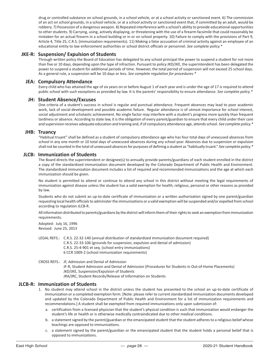drug or controlled substance on school grounds, in a school vehicle, or at a school activity or sanctioned event. 6) The commission of an act on school grounds, in a school vehicle, or at a school activity or sanctioned event that, if committed by an adult, would be robbery. 7) Possession of a dangerous weapon. 8) Repeated interference with a school's ability to provide educational opportunities to other students. 9) Carrying, using, actively displaying, or threatening with the use of a firearm facsimile that could reasonably be mistaken for an actual firearm in a school building or in or on school property. 10) Failure to comply with the provisions of Part 9, Article 4, Title 25, C.R.S. (immunization requirements). 11) Making a false accusation of criminal activity against an employee of an educational entity to law enforcement authorities or school district officials or personnel. *See complete policy.\**

#### **JKE-R: Suspension/ Expulsion of Students**

Through written policy the Board of Education has delegated to any school principal the power to suspend a student for not more than five or 10 days, depending upon the type of infraction. Pursuant to policy JKD/JKE, the superintendent has been delegated the power to suspend a student for additional periods of time. However, the total period of suspension will not exceed 25 school days. As a general rule, a suspension will be 10 days or less. *See complete regulation for procedures.\**

#### **JEA: Compulsory Attendance**

Every child who has attained the age of six years on or before August 1 of each year and is under the age of 17 is required to attend public school with such exceptions as provided by law. It is the parents' responsibility to ensure attendance. *See complete policy.\**

#### **JH: Student Absence/Excuses**

One criteria of a student's success in school is regular and punctual attendance. Frequent absences may lead to poor academic work, lack of social development and possible academic failure. Regular attendance is of utmost importance for school interest, social adjustment and scholastic achievement. No single factor may interfere with a student's progress more quickly than frequent tardiness or absence. According to state law, it is the obligation of every parent/guardian to ensure that every child under their care and supervision receives adequate education and training and, if of compulsory attendance age, attends school. *See complete policy.\**

#### **JHB: Truancy**

"Habitual truant" shall be defined as a student of compulsory attendance age who has four total days of unexcused absences from school in any one month or 10 total days of unexcused absences during any school year. Absences due to suspension or expulsion shall not be counted in the total of unexcused absences for purposes of defining a student as "habitually truant." *See complete policy.\**

#### **JLCB: Immunization of Students**

The Board directs the superintendent or designee(s) to annually provide parents/guardians of each student enrolled in the district a copy of the standardized immunization document developed by the Colorado Department of Public Health and Environment. The standardized immunization document includes a list of required and recommended immunizations and the age at which each immunization should be given.

No student is permitted to attend or continue to attend any school in this district without meeting the legal requirements of immunization against disease unless the student has a valid exemption for health, religious, personal or other reasons as provided by law.

Students who do not submit an up-to-date certificate of immunization or a written authorization signed by one parent/guardian requesting local health officials to administer the immunizations or a valid exemption will be suspended and/or expelled from school according to regulation JLCB-R.

All information distributed to parents/guardians by the district will inform them of their rights to seek an exemption from immunization requirements.

Adopted: July 16, 1996 Revised: June 25, 2013

LEGAL REFS.: C.R.S. 22-32-140 (annual distribution of standardized immunization document required) C.R.S. 22-33-106 (grounds for suspension, expulsion and denial of admission) C.R.S. 25-4-901 et seq. (school entry immunizations) 6 CCR 1009-2 (school immunization requirements) CROSS REFS.: JF, Admission and Denial of Admission

JF-R, Student Admission and Denial of Admission (Procedures for Students in Out-of-Home Placements) JKD/JKE, Suspension/Expulsion of Students JRA/JRC, Student Records/Release of Information on Students

#### **JLCB-R: Immunization of Students**

- 1. No student may attend school in the district unless the student has presented to the school an up-to-date certificate of immunization or a completed exemption form. [Note: please refer to current standardized immunization documents developed and updated by the Colorado Department of Public Health and Environment for a list of immunization requirements and recommendations.] A student shall be exempted from required immunizations only upon submission of:
	- a. certification from a licensed physician that the student's physical condition is such that immunization would endanger the student's life or health or is otherwise medically contraindicated due to other medical conditions.
	- b. a statement signed by the parent/guardian or the emancipated student that the student adheres to a religious belief whose teachings are opposed to immunizations.
	- c. a statement signed by the parent/guardian or the emancipated student that the student holds a personal belief that is opposed to immunizations.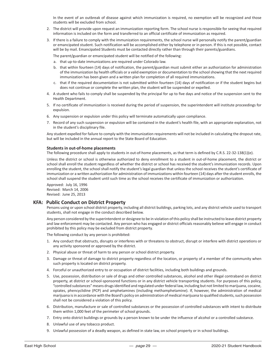In the event of an outbreak of disease against which immunization is required, no exemption will be recognized and those students will be excluded from school.

- 2. The district will provide upon request an immunization reporting form. The school nurse is responsible for seeing that required information is included on the form and transferred to an official certificate of immunization as required.
- 3. If there is a failure to comply with the immunization requirements, the school nurse will personally notify the parent/guardian or emancipated student. Such notification will be accomplished either by telephone or in person. If this is not possible, contact will be by mail. Emancipated Students must be contacted directly rather than through their parents/guardians.

The parent/guardian or emancipated student will be notified of the following:

- a. that up-to-date immunizations are required under Colorado law.
- b. that within fourteen (14) days of notification, the parent/guardian must submit either an authorization for administration of the immunization by health officials or a valid exemption or documentation to the school showing that the next required immunization has been given and a written plan for completion of all required immunizations.
- c. that if the required documentation is not submitted within fourteen (14) days of notification or if the student begins but does not continue or complete the written plan, the student will be suspended or expelled.
- 4. A student who fails to comply shall be suspended by the principal for up to five days and notice of the suspension sent to the Health Department.
- 5. If no certificate of immunization is received during the period of suspension, the superintendent will institute proceedings for expulsion.
- 6. Any suspension or expulsion under this policy will terminate automatically upon compliance.
- 7. Record of any such suspension or expulsion will be contained in the student's health file, with an appropriate explanation, not in the student's disciplinary file.

Any student expelled for failure to comply with the immunization requirements will not be included in calculating the dropout rate, but will be included in the annual report to the State Board of Education.

#### **Students in out-of-home placements**

The following procedure shall apply to students in out-of-home placements, as that term is defined by C.R.S. 22-32-138(1)(e).

Unless the district or school is otherwise authorized to deny enrollment to a student in out-of-home placement, the district or school shall enroll the student regardless of whether the district or school has received the student's immunization records. Upon enrolling the student, the school shall notify the student's legal guardian that unless the school receives the student's certificate of immunization or a written authorization for administration of immunizations within fourteen (14) days after the student enrolls, the school shall suspend the student until such time as the school receives the certificate of immunization or authorization.

Approved: July 16, 1996 Revised: March 14, 2006 Revised: June 25, 2013

#### **KFA: Public Conduct on District Property**

Persons using or upon school district property, including all district buildings, parking lots, and any district vehicle used to transport students, shall not engage in the conduct described below.

Any person considered by the superintendent or designee to be in violation of this policy shall be instructed to leave district property and law enforcement may be contacted. Any person who has engaged or district officials reasonably believe will engage in conduct prohibited by this policy may be excluded from district property.

The following conduct by any person is prohibited:

- 1. Any conduct that obstructs, disrupts or interferes with or threatens to obstruct, disrupt or interfere with district operations or any activity sponsored or approved by the district.
- 2. Physical abuse or threat of harm to any person or school district property.
- 3. Damage or threat of damage to district property regardless of the location, or property of a member of the community when such property is located on district property.
- 4. Forceful or unauthorized entry to or occupation of district facilities, including both buildings and grounds.
- 5. Use, possession, distribution or sale of drugs and other controlled substances, alcohol and other illegal contraband on district property, at district or school-sponsored functions or in any district vehicle transporting students. For purposes of this policy, "controlled substances" means drugs identified and regulated under federal law, including but not limited to marijuana, cocaine, opiates, phencyclidine (PCP) and amphetamines (including methamphetamine). If, however, the administration of medical marijuana is in accordance with the Board's policy on administration of medical marijuana to qualified students, such possession shall not be considered a violation of this policy.
- 6. Distribution, manufacture or sale of controlled substances or the possession of controlled substances with intent to distribute them within 1,000 feet of the perimeter of school grounds.
- 7. Entry onto district buildings or grounds by a person known to be under the influence of alcohol or a controlled substance.
- 8. Unlawful use of any tobacco product.
- 9. Unlawful possession of a deadly weapon, as defined in state law, on school property or in school buildings.